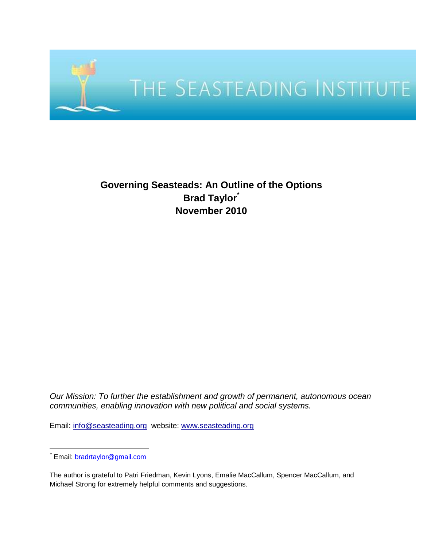

# **Governing Seasteads: An Outline of the Options Brad Taylor\* November 2010**

*Our Mission: To further the establishment and growth of permanent, autonomous ocean communities, enabling innovation with new political and social systems.* 

Email: [info@seasteading.org](mailto:info@seasteading.org) website: [www.seasteading.org](http://www.seasteading.org/)

The author is grateful to Patri Friedman, Kevin Lyons, Emalie MacCallum, Spencer MacCallum, and Michael Strong for extremely helpful comments and suggestions.

 $\overline{a}$ \* Email: [bradrtaylor@gmail.com](mailto:bradrtaylor@gmail.com)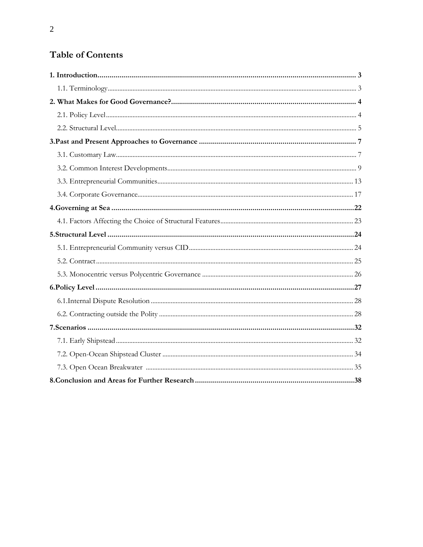# Table of Contents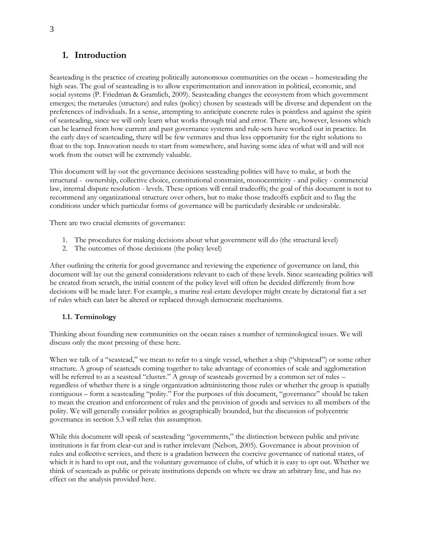# **1. Introduction**

Seasteading is the practice of creating politically autonomous communities on the ocean – homesteading the high seas. The goal of seasteading is to allow experimentation and innovation in political, economic, and social systems (P. Friedman & Gramlich, 2009). Seasteading changes the ecosystem from which government emerges; the metarules (structure) and rules (policy) chosen by seasteads will be diverse and dependent on the preferences of individuals. In a sense, attempting to anticipate concrete rules is pointless and against the spirit of seasteading, since we will only learn what works through trial and error. There are, however, lessons which can be learned from how current and past governance systems and rule-sets have worked out in practice. In the early days of seasteading, there will be few ventures and thus less opportunity for the right solutions to float to the top. Innovation needs to start from somewhere, and having some idea of what will and will not work from the outset will be extremely valuable.

This document will lay out the governance decisions seasteading polities will have to make, at both the structural - ownership, collective choice, constitutional constraint, monocentricity - and policy - commercial law, internal dispute resolution - levels. These options will entail tradeoffs; the goal of this document is not to recommend any organizational structure over others, but to make those tradeoffs explicit and to flag the conditions under which particular forms of governance will be particularly desirable or undesirable.

There are two crucial elements of governance:

- 1. The procedures for making decisions about what government will do (the structural level)
- 2. The outcomes of those decisions (the policy level)

After outlining the criteria for good governance and reviewing the experience of governance on land, this document will lay out the general considerations relevant to each of these levels. Since seasteading polities will be created from scratch, the initial content of the policy level will often be decided differently from how decisions will be made later. For example, a marine real-estate developer might create by dictatorial fiat a set of rules which can later be altered or replaced through democratic mechanisms.

# **1.1. Terminology**

Thinking about founding new communities on the ocean raises a number of terminological issues. We will discuss only the most pressing of these here.

When we talk of a "seastead," we mean to refer to a single vessel, whether a ship ("shipstead") or some other structure. A group of seasteads coming together to take advantage of economies of scale and agglomeration will be referred to as a seastead "cluster." A group of seasteads governed by a common set of rules – regardless of whether there is a single organization administering those rules or whether the group is spatially contiguous – form a seasteading "polity." For the purposes of this document, "governance" should be taken to mean the creation and enforcement of rules and the provision of goods and services to all members of the polity. We will generally consider polities as geographically bounded, but the discussion of polycentric governance in section 5.3 will relax this assumption.

While this document will speak of seasteading "governments," the distinction between public and private institutions is far from clear-cut and is rather irrelevant (Nelson, 2005). Governance is about provision of rules and collective services, and there is a gradation between the coercive governance of national states, of which it is hard to opt out, and the voluntary governance of clubs, of which it is easy to opt out. Whether we think of seasteads as public or private institutions depends on where we draw an arbitrary line, and has no effect on the analysis provided here.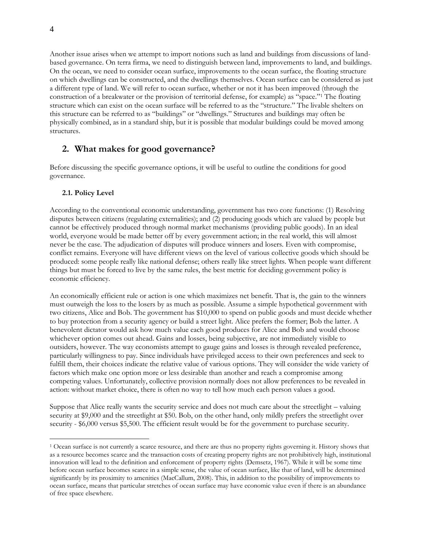Another issue arises when we attempt to import notions such as land and buildings from discussions of landbased governance. On terra firma, we need to distinguish between land, improvements to land, and buildings. On the ocean, we need to consider ocean surface, improvements to the ocean surface, the floating structure on which dwellings can be constructed, and the dwellings themselves. Ocean surface can be considered as just a different type of land. We will refer to ocean surface, whether or not it has been improved (through the construction of a breakwater or the provision of territorial defense, for example) as "space."<sup>1</sup> The floating structure which can exist on the ocean surface will be referred to as the "structure." The livable shelters on this structure can be referred to as "buildings" or "dwellings." Structures and buildings may often be physically combined, as in a standard ship, but it is possible that modular buildings could be moved among structures.

# **2. What makes for good governance?**

Before discussing the specific governance options, it will be useful to outline the conditions for good governance.

# **2.1. Policy Level**

According to the conventional economic understanding, government has two core functions: (1) Resolving disputes between citizens (regulating externalities); and (2) producing goods which are valued by people but cannot be effectively produced through normal market mechanisms (providing public goods). In an ideal world, everyone would be made better off by every government action; in the real world, this will almost never be the case. The adjudication of disputes will produce winners and losers. Even with compromise, conflict remains. Everyone will have different views on the level of various collective goods which should be produced: some people really like national defense; others really like street lights. When people want different things but must be forced to live by the same rules, the best metric for deciding government policy is economic efficiency.

An economically efficient rule or action is one which maximizes net benefit. That is, the gain to the winners must outweigh the loss to the losers by as much as possible. Assume a simple hypothetical government with two citizens, Alice and Bob. The government has \$10,000 to spend on public goods and must decide whether to buy protection from a security agency or build a street light. Alice prefers the former; Bob the latter. A benevolent dictator would ask how much value each good produces for Alice and Bob and would choose whichever option comes out ahead. Gains and losses, being subjective, are not immediately visible to outsiders, however. The way economists attempt to gauge gains and losses is through revealed preference, particularly willingness to pay. Since individuals have privileged access to their own preferences and seek to fulfill them, their choices indicate the relative value of various options. They will consider the wide variety of factors which make one option more or less desirable than another and reach a compromise among competing values. Unfortunately, collective provision normally does not allow preferences to be revealed in action: without market choice, there is often no way to tell how much each person values a good.

Suppose that Alice really wants the security service and does not much care about the streetlight – valuing security at \$9,000 and the streetlight at \$50. Bob, on the other hand, only mildly prefers the streetlight over security - \$6,000 versus \$5,500. The efficient result would be for the government to purchase security.

 $\overline{a}$ 

<sup>1</sup> Ocean surface is not currently a scarce resource, and there are thus no property rights governing it. History shows that as a resource becomes scarce and the transaction costs of creating property rights are not prohibitively high, institutional innovation will lead to the definition and enforcement of property rights (Demsetz, 1967). While it will be some time before ocean surface becomes scarce in a simple sense, the value of ocean surface, like that of land, will be determined significantly by its proximity to amenities (MacCallum, 2008). This, in addition to the possibility of improvements to ocean surface, means that particular stretches of ocean surface may have economic value even if there is an abundance of free space elsewhere.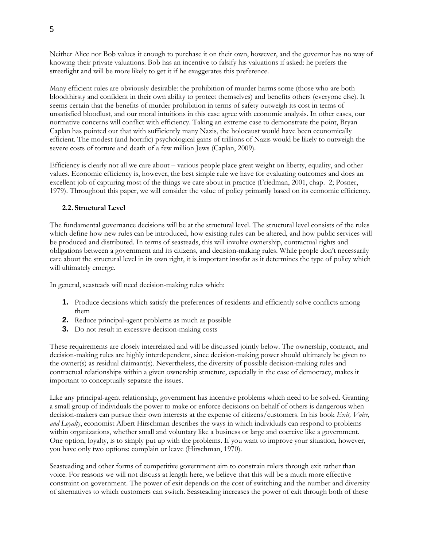Neither Alice nor Bob values it enough to purchase it on their own, however, and the governor has no way of knowing their private valuations. Bob has an incentive to falsify his valuations if asked: he prefers the streetlight and will be more likely to get it if he exaggerates this preference.

Many efficient rules are obviously desirable: the prohibition of murder harms some (those who are both bloodthirsty and confident in their own ability to protect themselves) and benefits others (everyone else). It seems certain that the benefits of murder prohibition in terms of safety outweigh its cost in terms of unsatisfied bloodlust, and our moral intuitions in this case agree with economic analysis. In other cases, our normative concerns will conflict with efficiency. Taking an extreme case to demonstrate the point, Bryan Caplan has pointed out that with sufficiently many Nazis, the holocaust would have been economically efficient. The modest (and horrific) psychological gains of trillions of Nazis would be likely to outweigh the severe costs of torture and death of a few million Jews (Caplan, 2009).

Efficiency is clearly not all we care about – various people place great weight on liberty, equality, and other values. Economic efficiency is, however, the best simple rule we have for evaluating outcomes and does an excellent job of capturing most of the things we care about in practice (Friedman, 2001, chap. 2; Posner, 1979). Throughout this paper, we will consider the value of policy primarily based on its economic efficiency.

#### **2.2. Structural Level**

The fundamental governance decisions will be at the structural level. The structural level consists of the rules which define how new rules can be introduced, how existing rules can be altered, and how public services will be produced and distributed. In terms of seasteads, this will involve ownership, contractual rights and obligations between a government and its citizens, and decision-making rules. While people don't necessarily care about the structural level in its own right, it is important insofar as it determines the type of policy which will ultimately emerge.

In general, seasteads will need decision-making rules which:

- **1.** Produce decisions which satisfy the preferences of residents and efficiently solve conflicts among them
- **2.** Reduce principal-agent problems as much as possible
- **3.** Do not result in excessive decision-making costs

These requirements are closely interrelated and will be discussed jointly below. The ownership, contract, and decision-making rules are highly interdependent, since decision-making power should ultimately be given to the owner(s) as residual claimant(s). Nevertheless, the diversity of possible decision-making rules and contractual relationships within a given ownership structure, especially in the case of democracy, makes it important to conceptually separate the issues.

Like any principal-agent relationship, government has incentive problems which need to be solved. Granting a small group of individuals the power to make or enforce decisions on behalf of others is dangerous when decision-makers can pursue their own interests at the expense of citizens/customers. In his book *Exit, Voice, and Loyalty*, economist Albert Hirschman describes the ways in which individuals can respond to problems within organizations, whether small and voluntary like a business or large and coercive like a government. One option, loyalty, is to simply put up with the problems. If you want to improve your situation, however, you have only two options: complain or leave (Hirschman, 1970).

Seasteading and other forms of competitive government aim to constrain rulers through exit rather than voice. For reasons we will not discuss at length here, we believe that this will be a much more effective constraint on government. The power of exit depends on the cost of switching and the number and diversity of alternatives to which customers can switch. Seasteading increases the power of exit through both of these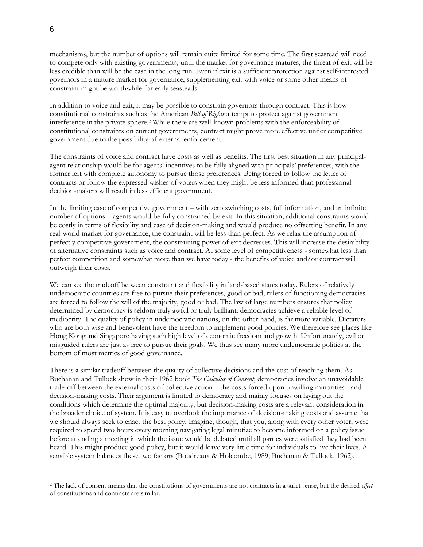mechanisms, but the number of options will remain quite limited for some time. The first seastead will need to compete only with existing governments; until the market for governance matures, the threat of exit will be less credible than will be the case in the long run. Even if exit is a sufficient protection against self-interested governors in a mature market for governance, supplementing exit with voice or some other means of constraint might be worthwhile for early seasteads.

In addition to voice and exit, it may be possible to constrain governors through contract. This is how constitutional constraints such as the American *Bill of Rights* attempt to protect against government interference in the private sphere.<sup>2</sup> While there are well-known problems with the enforceability of constitutional constraints on current governments, contract might prove more effective under competitive government due to the possibility of external enforcement.

The constraints of voice and contract have costs as well as benefits. The first best situation in any principalagent relationship would be for agents' incentives to be fully aligned with principals' preferences, with the former left with complete autonomy to pursue those preferences. Being forced to follow the letter of contracts or follow the expressed wishes of voters when they might be less informed than professional decision-makers will result in less efficient government.

In the limiting case of competitive government – with zero switching costs, full information, and an infinite number of options – agents would be fully constrained by exit. In this situation, additional constraints would be costly in terms of flexibility and ease of decision-making and would produce no offsetting benefit. In any real-world market for governance, the constraint will be less than perfect. As we relax the assumption of perfectly competitive government, the constraining power of exit decreases. This will increase the desirability of alternative constraints such as voice and contract. At some level of competitiveness - somewhat less than perfect competition and somewhat more than we have today - the benefits of voice and/or contract will outweigh their costs.

We can see the tradeoff between constraint and flexibility in land-based states today. Rulers of relatively undemocratic countries are free to pursue their preferences, good or bad; rulers of functioning democracies are forced to follow the will of the majority, good or bad. The law of large numbers ensures that policy determined by democracy is seldom truly awful or truly brilliant: democracies achieve a reliable level of mediocrity. The quality of policy in undemocratic nations, on the other hand, is far more variable. Dictators who are both wise and benevolent have the freedom to implement good policies. We therefore see places like Hong Kong and Singapore having such high level of economic freedom and growth. Unfortunately, evil or misguided rulers are just as free to pursue their goals. We thus see many more undemocratic polities at the bottom of most metrics of good governance.

There is a similar tradeoff between the quality of collective decisions and the cost of reaching them. As Buchanan and Tullock show in their 1962 book *The Calculus of Consent*, democracies involve an unavoidable trade-off between the external costs of collective action – the costs forced upon unwilling minorities - and decision-making costs. Their argument is limited to democracy and mainly focuses on laying out the conditions which determine the optimal majority, but decision-making costs are a relevant consideration in the broader choice of system. It is easy to overlook the importance of decision-making costs and assume that we should always seek to enact the best policy. Imagine, though, that you, along with every other voter, were required to spend two hours every morning navigating legal minutiae to become informed on a policy issue before attending a meeting in which the issue would be debated until all parties were satisfied they had been heard. This might produce good policy, but it would leave very little time for individuals to live their lives. A sensible system balances these two factors (Boudreaux & Holcombe, 1989; Buchanan & Tullock, 1962).

 $\overline{a}$ 

<sup>2</sup> The lack of consent means that the constitutions of governments are not contracts in a strict sense, but the desired *effect* of constitutions and contracts are similar.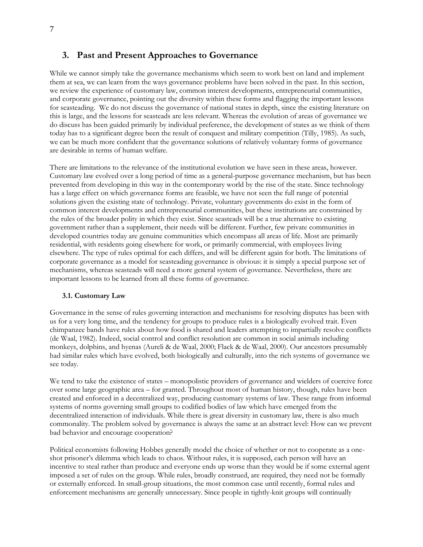# **3. Past and Present Approaches to Governance**

While we cannot simply take the governance mechanisms which seem to work best on land and implement them at sea, we can learn from the ways governance problems have been solved in the past. In this section, we review the experience of customary law, common interest developments, entrepreneurial communities, and corporate governance, pointing out the diversity within these forms and flagging the important lessons for seasteading. We do not discuss the governance of national states in depth, since the existing literature on this is large, and the lessons for seasteads are less relevant. Whereas the evolution of areas of governance we do discuss has been guided primarily by individual preference, the development of states as we think of them today has to a significant degree been the result of conquest and military competition (Tilly, 1985). As such, we can be much more confident that the governance solutions of relatively voluntary forms of governance are desirable in terms of human welfare.

There are limitations to the relevance of the institutional evolution we have seen in these areas, however. Customary law evolved over a long period of time as a general-purpose governance mechanism, but has been prevented from developing in this way in the contemporary world by the rise of the state. Since technology has a large effect on which governance forms are feasible, we have not seen the full range of potential solutions given the existing state of technology. Private, voluntary governments do exist in the form of common interest developments and entrepreneurial communities, but these institutions are constrained by the rules of the broader polity in which they exist. Since seasteads will be a true alternative to existing government rather than a supplement, their needs will be different. Further, few private communities in developed countries today are genuine communities which encompass all areas of life. Most are primarily residential, with residents going elsewhere for work, or primarily commercial, with employees living elsewhere. The type of rules optimal for each differs, and will be different again for both. The limitations of corporate governance as a model for seasteading governance is obvious: it is simply a special purpose set of mechanisms, whereas seasteads will need a more general system of governance. Nevertheless, there are important lessons to be learned from all these forms of governance.

#### **3.1. Customary Law**

Governance in the sense of rules governing interaction and mechanisms for resolving disputes has been with us for a very long time, and the tendency for groups to produce rules is a biologically evolved trait. Even chimpanzee bands have rules about how food is shared and leaders attempting to impartially resolve conflicts (de Waal, 1982). Indeed, social control and conflict resolution are common in social animals including monkeys, dolphins, and hyenas (Aureli & de Waal, 2000; Flack & de Waal, 2000). Our ancestors presumably had similar rules which have evolved, both biologically and culturally, into the rich systems of governance we see today.

We tend to take the existence of states – monopolistic providers of governance and wielders of coercive force over some large geographic area – for granted. Throughout most of human history, though, rules have been created and enforced in a decentralized way, producing customary systems of law. These range from informal systems of norms governing small groups to codified bodies of law which have emerged from the decentralized interaction of individuals. While there is great diversity in customary law, there is also much commonality. The problem solved by governance is always the same at an abstract level: How can we prevent bad behavior and encourage cooperation?

Political economists following Hobbes generally model the choice of whether or not to cooperate as a oneshot prisoner's dilemma which leads to chaos. Without rules, it is supposed, each person will have an incentive to steal rather than produce and everyone ends up worse than they would be if some external agent imposed a set of rules on the group. While rules, broadly construed, are required, they need not be formally or externally enforced. In small-group situations, the most common case until recently, formal rules and enforcement mechanisms are generally unnecessary. Since people in tightly-knit groups will continually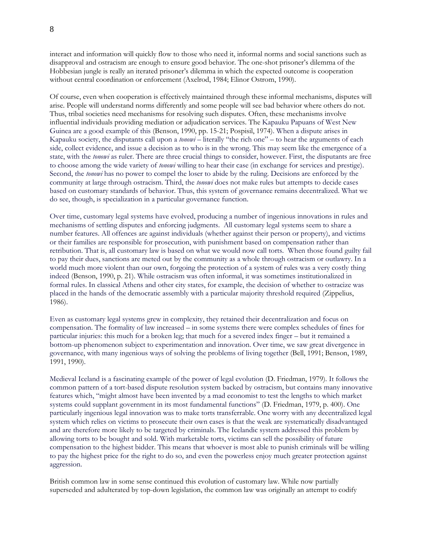interact and information will quickly flow to those who need it, informal norms and social sanctions such as disapproval and ostracism are enough to ensure good behavior. The one-shot prisoner's dilemma of the Hobbesian jungle is really an iterated prisoner's dilemma in which the expected outcome is cooperation without central coordination or enforcement (Axelrod, 1984; Elinor Ostrom, 1990).

Of course, even when cooperation is effectively maintained through these informal mechanisms, disputes will arise. People will understand norms differently and some people will see bad behavior where others do not. Thus, tribal societies need mechanisms for resolving such disputes. Often, these mechanisms involve influential individuals providing mediation or adjudication services. The Kapauku Papuans of West New Guinea are a good example of this (Benson, 1990, pp. 15-21; Pospisil, 1974). When a dispute arises in Kapauku society, the disputants call upon a *tonowi* – literally "the rich one" – to hear the arguments of each side, collect evidence, and issue a decision as to who is in the wrong. This may seem like the emergence of a state, with the *tonowi* as ruler. There are three crucial things to consider, however. First, the disputants are free to choose among the wide variety of *tonowi* willing to hear their case (in exchange for services and prestige). Second, the *tonowi* has no power to compel the loser to abide by the ruling. Decisions are enforced by the community at large through ostracism. Third, the *tonowi* does not make rules but attempts to decide cases based on customary standards of behavior. Thus, this system of governance remains decentralized. What we do see, though, is specialization in a particular governance function.

Over time, customary legal systems have evolved, producing a number of ingenious innovations in rules and mechanisms of settling disputes and enforcing judgments. All customary legal systems seem to share a number features. All offences are against individuals (whether against their person or property), and victims or their families are responsible for prosecution, with punishment based on compensation rather than retribution. That is, all customary law is based on what we would now call torts. When those found guilty fail to pay their dues, sanctions are meted out by the community as a whole through ostracism or outlawry. In a world much more violent than our own, forgoing the protection of a system of rules was a very costly thing indeed (Benson, 1990, p. 21). While ostracism was often informal, it was sometimes institutionalized in formal rules. In classical Athens and other city states, for example, the decision of whether to ostracize was placed in the hands of the democratic assembly with a particular majority threshold required (Zippelius, 1986).

Even as customary legal systems grew in complexity, they retained their decentralization and focus on compensation. The formality of law increased – in some systems there were complex schedules of fines for particular injuries: this much for a broken leg; that much for a severed index finger – but it remained a bottom-up phenomenon subject to experimentation and innovation. Over time, we saw great divergence in governance, with many ingenious ways of solving the problems of living together (Bell, 1991; Benson, 1989, 1991, 1990).

Medieval Iceland is a fascinating example of the power of legal evolution (D. Friedman, 1979). It follows the common pattern of a tort-based dispute resolution system backed by ostracism, but contains many innovative features which, "might almost have been invented by a mad economist to test the lengths to which market systems could supplant government in its most fundamental functions" (D. Friedman, 1979, p. 400). One particularly ingenious legal innovation was to make torts transferrable. One worry with any decentralized legal system which relies on victims to prosecute their own cases is that the weak are systematically disadvantaged and are therefore more likely to be targeted by criminals. The Icelandic system addressed this problem by allowing torts to be bought and sold. With marketable torts, victims can sell the possibility of future compensation to the highest bidder. This means that whoever is most able to punish criminals will be willing to pay the highest price for the right to do so, and even the powerless enjoy much greater protection against aggression.

British common law in some sense continued this evolution of customary law. While now partially superseded and adulterated by top-down legislation, the common law was originally an attempt to codify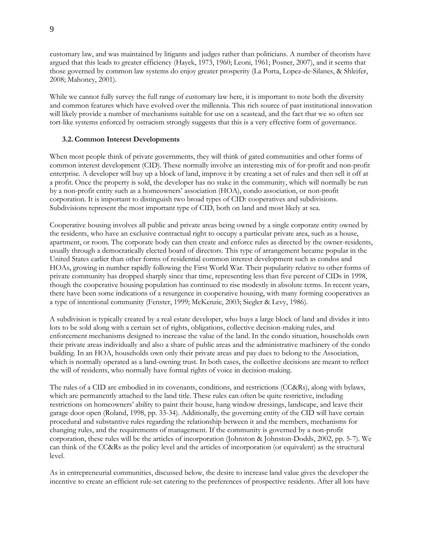customary law, and was maintained by litigants and judges rather than politicians. A number of theorists have argued that this leads to greater efficiency (Hayek, 1973, 1960; Leoni, 1961; Posner, 2007), and it seems that those governed by common law systems do enjoy greater prosperity (La Porta, Lopez-de-Silanes, & Shleifer, 2008; Mahoney, 2001).

While we cannot fully survey the full range of customary law here, it is important to note both the diversity and common features which have evolved over the millennia. This rich source of past institutional innovation will likely provide a number of mechanisms suitable for use on a seastead, and the fact that we so often see tort-like systems enforced by ostracism strongly suggests that this is a very effective form of governance.

#### **3.2. Common Interest Developments**

When most people think of private governments, they will think of gated communities and other forms of common interest development (CID). These normally involve an interesting mix of for-profit and non-profit enterprise. A developer will buy up a block of land, improve it by creating a set of rules and then sell it off at a profit. Once the property is sold, the developer has no stake in the community, which will normally be run by a non-profit entity such as a homeowners' association (HOA), condo association, or non-profit corporation. It is important to distinguish two broad types of CID: cooperatives and subdivisions. Subdivisions represent the most important type of CID, both on land and most likely at sea.

Cooperative housing involves all public and private areas being owned by a single corporate entity owned by the residents, who have an exclusive contractual right to occupy a particular private area, such as a house, apartment, or room. The corporate body can then create and enforce rules as directed by the owner-residents, usually through a democratically elected board of directors. This type of arrangement became popular in the United States earlier than other forms of residential common interest development such as condos and HOAs, growing in number rapidly following the First World War. Their popularity relative to other forms of private community has dropped sharply since that time, representing less than five percent of CIDs in 1998, though the cooperative housing population has continued to rise modestly in absolute terms. In recent years, there have been some indications of a resurgence in cooperative housing, with many forming cooperatives as a type of intentional community (Fenster, 1999; McKenzie, 2003; Siegler & Levy, 1986).

A subdivision is typically created by a real estate developer, who buys a large block of land and divides it into lots to be sold along with a certain set of rights, obligations, collective decision-making rules, and enforcement mechanisms designed to increase the value of the land. In the condo situation, households own their private areas individually and also a share of public areas and the administrative machinery of the condo building. In an HOA, households own only their private areas and pay dues to belong to the Association, which is normally operated as a land-owning trust. In both cases, the collective decisions are meant to reflect the will of residents, who normally have formal rights of voice in decision-making.

The rules of a CID are embodied in its covenants, conditions, and restrictions (CC&Rs), along with bylaws, which are permanently attached to the land title. These rules can often be quite restrictive, including restrictions on homeowners' ability to paint their house, hang window dressings, landscape, and leave their garage door open (Roland, 1998, pp. 33-34). Additionally, the governing entity of the CID will have certain procedural and substantive rules regarding the relationship between it and the members, mechanisms for changing rules, and the requirements of management. If the community is governed by a non-profit corporation, these rules will be the articles of incorporation (Johnston & Johnston-Dodds, 2002, pp. 5-7). We can think of the CC&Rs as the policy level and the articles of incorporation (or equivalent) as the structural level.

As in entrepreneurial communities, discussed below, the desire to increase land value gives the developer the incentive to create an efficient rule-set catering to the preferences of prospective residents. After all lots have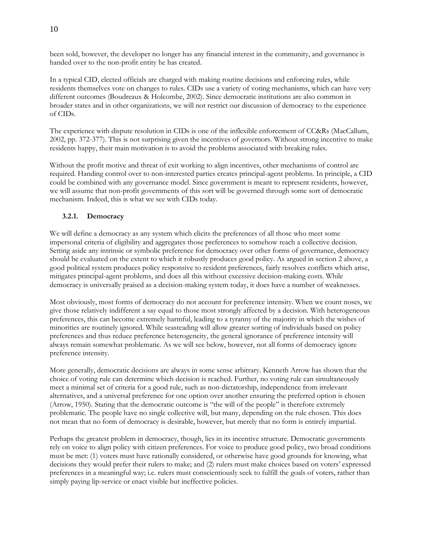been sold, however, the developer no longer has any financial interest in the community, and governance is handed over to the non-profit entity he has created.

In a typical CID, elected officials are charged with making routine decisions and enforcing rules, while residents themselves vote on changes to rules. CIDs use a variety of voting mechanisms, which can have very different outcomes (Boudreaux & Holcombe, 2002). Since democratic institutions are also common in broader states and in other organizations, we will not restrict our discussion of democracy to the experience of CIDs.

The experience with dispute resolution in CIDs is one of the inflexible enforcement of CC&Rs (MacCallum, 2002, pp. 372-377). This is not surprising given the incentives of governors. Without strong incentive to make residents happy, their main motivation is to avoid the problems associated with breaking rules.

Without the profit motive and threat of exit working to align incentives, other mechanisms of control are required. Handing control over to non-interested parties creates principal-agent problems. In principle, a CID could be combined with any governance model. Since government is meant to represent residents, however, we will assume that non-profit governments of this sort will be governed through some sort of democratic mechanism. Indeed, this is what we see with CIDs today.

# **3.2.1. Democracy**

We will define a democracy as any system which elicits the preferences of all those who meet some impersonal criteria of eligibility and aggregates those preferences to somehow reach a collective decision. Setting aside any intrinsic or symbolic preference for democracy over other forms of governance, democracy should be evaluated on the extent to which it robustly produces good policy. As argued in section 2 above, a good political system produces policy responsive to resident preferences, fairly resolves conflicts which arise, mitigates principal-agent problems, and does all this without excessive decision-making costs. While democracy is universally praised as a decision-making system today, it does have a number of weaknesses.

Most obviously, most forms of democracy do not account for preference intensity. When we count noses, we give those relatively indifferent a say equal to those most strongly affected by a decision. With heterogeneous preferences, this can become extremely harmful, leading to a tyranny of the majority in which the wishes of minorities are routinely ignored. While seasteading will allow greater sorting of individuals based on policy preferences and thus reduce preference heterogeneity, the general ignorance of preference intensity will always remain somewhat problematic. As we will see below, however, not all forms of democracy ignore preference intensity.

More generally, democratic decisions are always in some sense arbitrary. Kenneth Arrow has shown that the choice of voting rule can determine which decision is reached. Further, no voting rule can simultaneously meet a minimal set of criteria for a good rule, such as non-dictatorship, independence from irrelevant alternatives, and a universal preference for one option over another ensuring the preferred option is chosen (Arrow, 1950). Stating that the democratic outcome is "the will of the people" is therefore extremely problematic. The people have no single collective will, but many, depending on the rule chosen. This does not mean that no form of democracy is desirable, however, but merely that no form is entirely impartial.

Perhaps the greatest problem in democracy, though, lies in its incentive structure. Democratic governments rely on voice to align policy with citizen preferences. For voice to produce good policy, two broad conditions must be met: (1) voters must have rationally considered, or otherwise have good grounds for knowing, what decisions they would prefer their rulers to make; and (2) rulers must make choices based on voters' expressed preferences in a meaningful way; i.e. rulers must conscientiously seek to fulfill the goals of voters, rather than simply paying lip-service or enact visible but ineffective policies.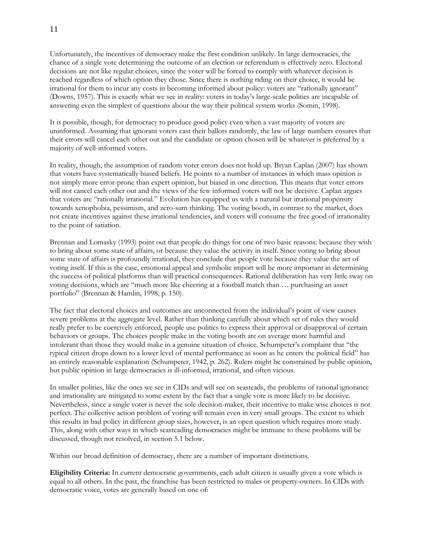Unfortunately, the incentives of democracy make the first condition unlikely. In large democracies, the chance of a single vote determining the outcome of an election or referendum is effectively zero. Electoral decisions are not like regular choices, since the voter will be forced to comply with whatever decision is reached regardless of which option they chose. Since there is nothing riding on their choice, it would be irrational for them to incur any costs in becoming informed about policy: voters are "rationally ignorant" (Downs, 1957). This is exactly what we see in reality: voters in today's large-scale polities are incapable of answering even the simplest of questions about the way their political system works (Somin, 1998).

It is possible, though, for democracy to produce good policy even when a vast majority of voters are uninformed. Assuming that ignorant voters cast their ballots randomly, the law of large numbers ensures that their errors will cancel each other out and the candidate or option chosen will be whatever is preferred by a majority of well-informed voters.

In reality, though, the assumption of random voter errors does not hold up. Bryan Caplan (2007) has shown that voters have systematically biased beliefs. He points to a number of instances in which mass opinion is not simply more error-prone than expert opinion, but biased in one direction. This means that voter errors will not cancel each other out and the views of the few informed voters will not be decisive. Caplan argues that voters are "rationally irrational." Evolution has equipped us with a natural but irrational propensity towards xenophobia, pessimism, and zero-sum thinking. The voting booth, in contrast to the market, does not create incentives against these irrational tendencies, and voters will consume the free good of irrationality to the point of satiation.

Brennan and Lomasky (1993) point out that people do things for one of two basic reasons: because they wish to bring about some state of affairs, or because they value the activity in itself. Since voting to bring about some state of affairs is profoundly irrational, they conclude that people vote because they value the act of voting itself. If this is the case, emotional appeal and symbolic import will be more important in determining the success of political platforms than will practical consequences. Rational deliberation has very little sway on voting decisions, which are "much more like cheering at a football match than ... purchasing an asset portfolio" (Brennan & Hamlin, 1998, p. 150).

The fact that electoral choices and outcomes are unconnected from the individual's point of view causes severe problems at the aggregate level. Rather than thinking carefully about which set of rules they would really prefer to be coercively enforced, people use politics to express their approval or disapproval of certain behaviors or groups. The choices people make in the voting booth are on average more harmful and intolerant than those they would make in a genuine situation of choice. Schumpeter's complaint that "the typical citizen drops down to a lower level of mental performance as soon as he enters the political field" has an entirely reasonable explanation (Schumpeter, 1942, p. 262). Rulers might be constrained by public opinion, but public opinion in large democracies is ill-informed, irrational, and often vicious.

In smaller polities, like the ones we see in CIDs and will see on seasteads, the problems of rational ignorance and irrationality are mitigated to some extent by the fact that a single vote is more likely to be decisive. Nevertheless, since a single voter is never the sole decision-maker, their incentive to make wise choices is not perfect. The collective action problem of voting will remain even in very small groups. The extent to which this results in bad policy in different group sizes, however, is an open question which requires more study. This, along with other ways in which seasteading democracies might be immune to these problems will be discussed, though not resolved, in section 5.1 below.

Within our broad definition of democracy, there are a number of important distinctions.

**Eligibility Criteria:** In current democratic governments, each adult citizen is usually given a vote which is equal to all others. In the past, the franchise has been restricted to males or property-owners. In CIDs with democratic voice, votes are generally based on one of: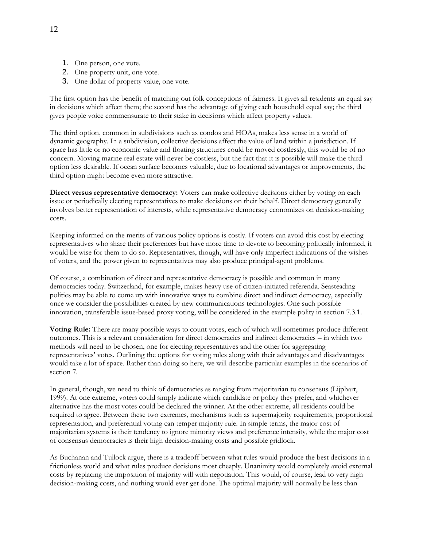- 1. One person, one vote.
- 2. One property unit, one vote.
- 3. One dollar of property value, one vote.

The first option has the benefit of matching out folk conceptions of fairness. It gives all residents an equal say in decisions which affect them; the second has the advantage of giving each household equal say; the third gives people voice commensurate to their stake in decisions which affect property values.

The third option, common in subdivisions such as condos and HOAs, makes less sense in a world of dynamic geography. In a subdivision, collective decisions affect the value of land within a jurisdiction. If space has little or no economic value and floating structures could be moved costlessly, this would be of no concern. Moving marine real estate will never be costless, but the fact that it is possible will make the third option less desirable. If ocean surface becomes valuable, due to locational advantages or improvements, the third option might become even more attractive.

**Direct versus representative democracy:** Voters can make collective decisions either by voting on each issue or periodically electing representatives to make decisions on their behalf. Direct democracy generally involves better representation of interests, while representative democracy economizes on decision-making costs.

Keeping informed on the merits of various policy options is costly. If voters can avoid this cost by electing representatives who share their preferences but have more time to devote to becoming politically informed, it would be wise for them to do so. Representatives, though, will have only imperfect indications of the wishes of voters, and the power given to representatives may also produce principal-agent problems.

Of course, a combination of direct and representative democracy is possible and common in many democracies today. Switzerland, for example, makes heavy use of citizen-initiated referenda. Seasteading polities may be able to come up with innovative ways to combine direct and indirect democracy, especially once we consider the possibilities created by new communications technologies. One such possible innovation, transferable issue-based proxy voting, will be considered in the example polity in section 7.3.1.

**Voting Rule:** There are many possible ways to count votes, each of which will sometimes produce different outcomes. This is a relevant consideration for direct democracies and indirect democracies – in which two methods will need to be chosen, one for electing representatives and the other for aggregating representatives' votes. Outlining the options for voting rules along with their advantages and disadvantages would take a lot of space. Rather than doing so here, we will describe particular examples in the scenarios of section 7.

In general, though, we need to think of democracies as ranging from majoritarian to consensus (Lijphart, 1999). At one extreme, voters could simply indicate which candidate or policy they prefer, and whichever alternative has the most votes could be declared the winner. At the other extreme, all residents could be required to agree. Between these two extremes, mechanisms such as supermajority requirements, proportional representation, and preferential voting can temper majority rule. In simple terms, the major cost of majoritarian systems is their tendency to ignore minority views and preference intensity, while the major cost of consensus democracies is their high decision-making costs and possible gridlock.

As Buchanan and Tullock argue, there is a tradeoff between what rules would produce the best decisions in a frictionless world and what rules produce decisions most cheaply. Unanimity would completely avoid external costs by replacing the imposition of majority will with negotiation. This would, of course, lead to very high decision-making costs, and nothing would ever get done. The optimal majority will normally be less than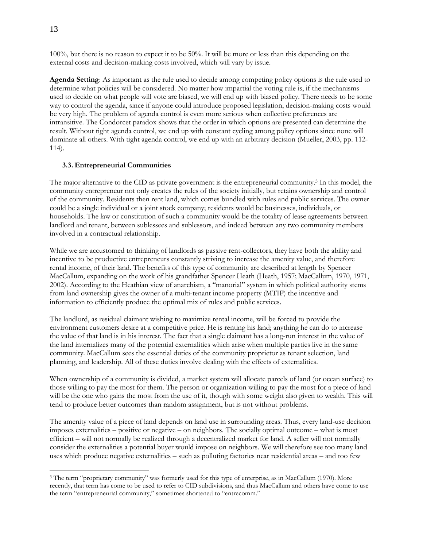100%, but there is no reason to expect it to be 50%. It will be more or less than this depending on the external costs and decision-making costs involved, which will vary by issue.

**Agenda Setting**: As important as the rule used to decide among competing policy options is the rule used to determine what policies will be considered. No matter how impartial the voting rule is, if the mechanisms used to decide on what people will vote are biased, we will end up with biased policy. There needs to be some way to control the agenda, since if anyone could introduce proposed legislation, decision-making costs would be very high. The problem of agenda control is even more serious when collective preferences are intransitive. The Condorcet paradox shows that the order in which options are presented can determine the result. Without tight agenda control, we end up with constant cycling among policy options since none will dominate all others. With tight agenda control, we end up with an arbitrary decision (Mueller, 2003, pp. 112- 114).

#### **3.3. Entrepreneurial Communities**

The major alternative to the CID as private government is the entrepreneurial community.<sup>3</sup> In this model, the community entrepreneur not only creates the rules of the society initially, but retains ownership and control of the community. Residents then rent land, which comes bundled with rules and public services. The owner could be a single individual or a joint stock company; residents would be businesses, individuals, or households. The law or constitution of such a community would be the totality of lease agreements between landlord and tenant, between sublessees and sublessors, and indeed between any two community members involved in a contractual relationship.

While we are accustomed to thinking of landlords as passive rent-collectors, they have both the ability and incentive to be productive entrepreneurs constantly striving to increase the amenity value, and therefore rental income, of their land. The benefits of this type of community are described at length by Spencer MacCallum, expanding on the work of his grandfather Spencer Heath (Heath, 1957; MacCallum, 1970, 1971, 2002). According to the Heathian view of anarchism, a "manorial" system in which political authority stems from land ownership gives the owner of a multi-tenant income property (MTIP) the incentive and information to efficiently produce the optimal mix of rules and public services.

The landlord, as residual claimant wishing to maximize rental income, will be forced to provide the environment customers desire at a competitive price. He is renting his land; anything he can do to increase the value of that land is in his interest. The fact that a single claimant has a long-run interest in the value of the land internalizes many of the potential externalities which arise when multiple parties live in the same community. MacCallum sees the essential duties of the community proprietor as tenant selection, land planning, and leadership. All of these duties involve dealing with the effects of externalities.

When ownership of a community is divided, a market system will allocate parcels of land (or ocean surface) to those willing to pay the most for them. The person or organization willing to pay the most for a piece of land will be the one who gains the most from the use of it, though with some weight also given to wealth. This will tend to produce better outcomes than random assignment, but is not without problems.

The amenity value of a piece of land depends on land use in surrounding areas. Thus, every land-use decision imposes externalities – positive or negative – on neighbors. The socially optimal outcome – what is most efficient – will not normally be realized through a decentralized market for land. A seller will not normally consider the externalities a potential buyer would impose on neighbors. We will therefore see too many land uses which produce negative externalities – such as polluting factories near residential areas – and too few

 $\overline{a}$ 

<sup>&</sup>lt;sup>3</sup> The term "proprietary community" was formerly used for this type of enterprise, as in MacCallum (1970). More recently, that term has come to be used to refer to CID subdivisions, and thus MacCallum and others have come to use the term "entrepreneurial community," sometimes shortened to "entrecomm."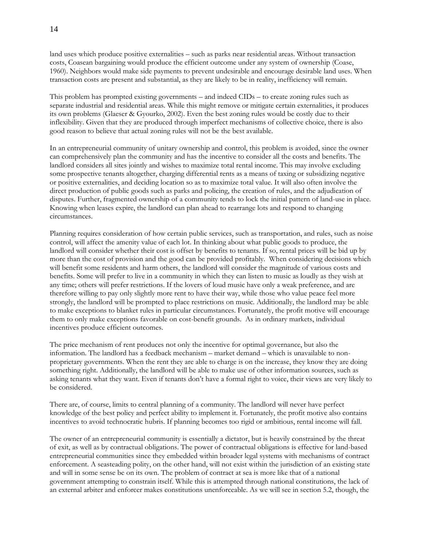land uses which produce positive externalities – such as parks near residential areas. Without transaction costs, Coasean bargaining would produce the efficient outcome under any system of ownership (Coase, 1960). Neighbors would make side payments to prevent undesirable and encourage desirable land uses. When transaction costs are present and substantial, as they are likely to be in reality, inefficiency will remain.

This problem has prompted existing governments – and indeed CIDs – to create zoning rules such as separate industrial and residential areas. While this might remove or mitigate certain externalities, it produces its own problems (Glaeser & Gyourko, 2002). Even the best zoning rules would be costly due to their inflexibility. Given that they are produced through imperfect mechanisms of collective choice, there is also good reason to believe that actual zoning rules will not be the best available.

In an entrepreneurial community of unitary ownership and control, this problem is avoided, since the owner can comprehensively plan the community and has the incentive to consider all the costs and benefits. The landlord considers all sites jointly and wishes to maximize total rental income. This may involve excluding some prospective tenants altogether, charging differential rents as a means of taxing or subsidizing negative or positive externalities, and deciding location so as to maximize total value. It will also often involve the direct production of public goods such as parks and policing, the creation of rules, and the adjudication of disputes. Further, fragmented ownership of a community tends to lock the initial pattern of land-use in place. Knowing when leases expire, the landlord can plan ahead to rearrange lots and respond to changing circumstances.

Planning requires consideration of how certain public services, such as transportation, and rules, such as noise control, will affect the amenity value of each lot. In thinking about what public goods to produce, the landlord will consider whether their cost is offset by benefits to tenants. If so, rental prices will be bid up by more than the cost of provision and the good can be provided profitably. When considering decisions which will benefit some residents and harm others, the landlord will consider the magnitude of various costs and benefits. Some will prefer to live in a community in which they can listen to music as loudly as they wish at any time; others will prefer restrictions. If the lovers of loud music have only a weak preference, and are therefore willing to pay only slightly more rent to have their way, while those who value peace feel more strongly, the landlord will be prompted to place restrictions on music. Additionally, the landlord may be able to make exceptions to blanket rules in particular circumstances. Fortunately, the profit motive will encourage them to only make exceptions favorable on cost-benefit grounds. As in ordinary markets, individual incentives produce efficient outcomes.

The price mechanism of rent produces not only the incentive for optimal governance, but also the information. The landlord has a feedback mechanism – market demand – which is unavailable to nonproprietary governments. When the rent they are able to charge is on the increase, they know they are doing something right. Additionally, the landlord will be able to make use of other information sources, such as asking tenants what they want. Even if tenants don't have a formal right to voice, their views are very likely to be considered.

There are, of course, limits to central planning of a community. The landlord will never have perfect knowledge of the best policy and perfect ability to implement it. Fortunately, the profit motive also contains incentives to avoid technocratic hubris. If planning becomes too rigid or ambitious, rental income will fall.

The owner of an entrepreneurial community is essentially a dictator, but is heavily constrained by the threat of exit, as well as by contractual obligations. The power of contractual obligations is effective for land-based entrepreneurial communities since they embedded within broader legal systems with mechanisms of contract enforcement. A seasteading polity, on the other hand, will not exist within the jurisdiction of an existing state and will in some sense be on its own. The problem of contract at sea is more like that of a national government attempting to constrain itself. While this is attempted through national constitutions, the lack of an external arbiter and enforcer makes constitutions unenforceable. As we will see in section 5.2, though, the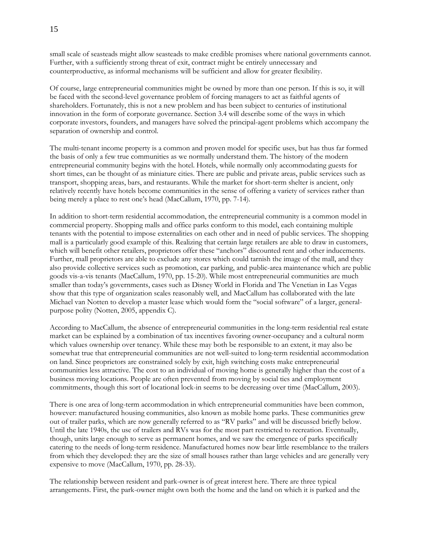small scale of seasteads might allow seasteads to make credible promises where national governments cannot. Further, with a sufficiently strong threat of exit, contract might be entirely unnecessary and counterproductive, as informal mechanisms will be sufficient and allow for greater flexibility.

Of course, large entrepreneurial communities might be owned by more than one person. If this is so, it will be faced with the second-level governance problem of forcing managers to act as faithful agents of shareholders. Fortunately, this is not a new problem and has been subject to centuries of institutional innovation in the form of corporate governance. Section 3.4 will describe some of the ways in which corporate investors, founders, and managers have solved the principal-agent problems which accompany the separation of ownership and control.

The multi-tenant income property is a common and proven model for specific uses, but has thus far formed the basis of only a few true communities as we normally understand them. The history of the modern entrepreneurial community begins with the hotel. Hotels, while normally only accommodating guests for short times, can be thought of as miniature cities. There are public and private areas, public services such as transport, shopping areas, bars, and restaurants. While the market for short-term shelter is ancient, only relatively recently have hotels become communities in the sense of offering a variety of services rather than being merely a place to rest one's head (MacCallum, 1970, pp. 7-14).

In addition to short-term residential accommodation, the entrepreneurial community is a common model in commercial property. Shopping malls and office parks conform to this model, each containing multiple tenants with the potential to impose externalities on each other and in need of public services. The shopping mall is a particularly good example of this. Realizing that certain large retailers are able to draw in customers, which will benefit other retailers, proprietors offer these "anchors" discounted rent and other inducements. Further, mall proprietors are able to exclude any stores which could tarnish the image of the mall, and they also provide collective services such as promotion, car parking, and public-area maintenance which are public goods vis-a-vis tenants (MacCallum, 1970, pp. 15-20). While most entrepreneurial communities are much smaller than today's governments, cases such as Disney World in Florida and The Venetian in Las Vegas show that this type of organization scales reasonably well, and MacCallum has collaborated with the late Michael van Notten to develop a master lease which would form the "social software" of a larger, generalpurpose polity (Notten, 2005, appendix C).

According to MacCallum, the absence of entrepreneurial communities in the long-term residential real estate market can be explained by a combination of tax incentives favoring owner-occupancy and a cultural norm which values ownership over tenancy. While these may both be responsible to an extent, it may also be somewhat true that entrepreneurial communities are not well-suited to long-term residential accommodation on land. Since proprietors are constrained solely by exit, high switching costs make entrepreneurial communities less attractive. The cost to an individual of moving home is generally higher than the cost of a business moving locations. People are often prevented from moving by social ties and employment commitments, though this sort of locational lock-in seems to be decreasing over time (MacCallum, 2003).

There is one area of long-term accommodation in which entrepreneurial communities have been common, however: manufactured housing communities, also known as mobile home parks. These communities grew out of trailer parks, which are now generally referred to as "RV parks" and will be discussed briefly below. Until the late 1940s, the use of trailers and RVs was for the most part restricted to recreation. Eventually, though, units large enough to serve as permanent homes, and we saw the emergence of parks specifically catering to the needs of long-term residence. Manufactured homes now bear little resemblance to the trailers from which they developed: they are the size of small houses rather than large vehicles and are generally very expensive to move (MacCallum, 1970, pp. 28-33).

The relationship between resident and park-owner is of great interest here. There are three typical arrangements. First, the park-owner might own both the home and the land on which it is parked and the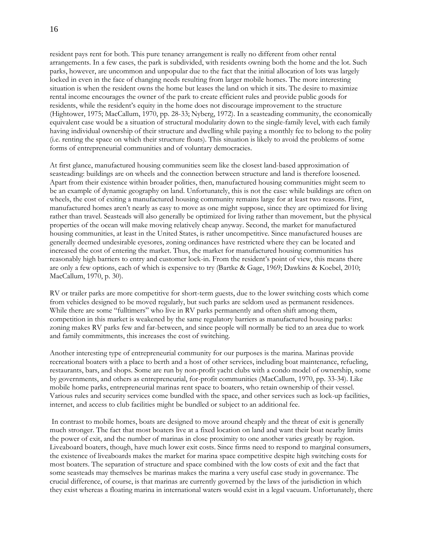resident pays rent for both. This pure tenancy arrangement is really no different from other rental arrangements. In a few cases, the park is subdivided, with residents owning both the home and the lot. Such parks, however, are uncommon and unpopular due to the fact that the initial allocation of lots was largely locked in even in the face of changing needs resulting from larger mobile homes. The more interesting situation is when the resident owns the home but leases the land on which it sits. The desire to maximize rental income encourages the owner of the park to create efficient rules and provide public goods for residents, while the resident's equity in the home does not discourage improvement to the structure (Hightower, 1975; MacCallum, 1970, pp. 28-33; Nyberg, 1972). In a seasteading community, the economically equivalent case would be a situation of structural modularity down to the single-family level, with each family having individual ownership of their structure and dwelling while paying a monthly fee to belong to the polity (i.e. renting the space on which their structure floats). This situation is likely to avoid the problems of some forms of entrepreneurial communities and of voluntary democracies.

At first glance, manufactured housing communities seem like the closest land-based approximation of seasteading: buildings are on wheels and the connection between structure and land is therefore loosened. Apart from their existence within broader polities, then, manufactured housing communities might seem to be an example of dynamic geography on land. Unfortunately, this is not the case: while buildings are often on wheels, the cost of exiting a manufactured housing community remains large for at least two reasons. First, manufactured homes aren't nearly as easy to move as one might suppose, since they are optimized for living rather than travel. Seasteads will also generally be optimized for living rather than movement, but the physical properties of the ocean will make moving relatively cheap anyway. Second, the market for manufactured housing communities, at least in the United States, is rather uncompetitive. Since manufactured houses are generally deemed undesirable eyesores, zoning ordinances have restricted where they can be located and increased the cost of entering the market. Thus, the market for manufactured housing communities has reasonably high barriers to entry and customer lock-in. From the resident's point of view, this means there are only a few options, each of which is expensive to try (Bartke & Gage, 1969; Dawkins & Koebel, 2010; MacCallum, 1970, p. 30).

RV or trailer parks are more competitive for short-term guests, due to the lower switching costs which come from vehicles designed to be moved regularly, but such parks are seldom used as permanent residences. While there are some "fulltimers" who live in RV parks permanently and often shift among them, competition in this market is weakened by the same regulatory barriers as manufactured housing parks: zoning makes RV parks few and far-between, and since people will normally be tied to an area due to work and family commitments, this increases the cost of switching.

Another interesting type of entrepreneurial community for our purposes is the marina. Marinas provide recreational boaters with a place to berth and a host of other services, including boat maintenance, refueling, restaurants, bars, and shops. Some are run by non-profit yacht clubs with a condo model of ownership, some by governments, and others as entrepreneurial, for-profit communities (MacCallum, 1970, pp. 33-34). Like mobile home parks, entrepreneurial marinas rent space to boaters, who retain ownership of their vessel. Various rules and security services come bundled with the space, and other services such as lock-up facilities, internet, and access to club facilities might be bundled or subject to an additional fee.

In contrast to mobile homes, boats are designed to move around cheaply and the threat of exit is generally much stronger. The fact that most boaters live at a fixed location on land and want their boat nearby limits the power of exit, and the number of marinas in close proximity to one another varies greatly by region. Liveaboard boaters, though, have much lower exit costs. Since firms need to respond to marginal consumers, the existence of liveaboards makes the market for marina space competitive despite high switching costs for most boaters. The separation of structure and space combined with the low costs of exit and the fact that some seasteads may themselves be marinas makes the marina a very useful case study in governance. The crucial difference, of course, is that marinas are currently governed by the laws of the jurisdiction in which they exist whereas a floating marina in international waters would exist in a legal vacuum. Unfortunately, there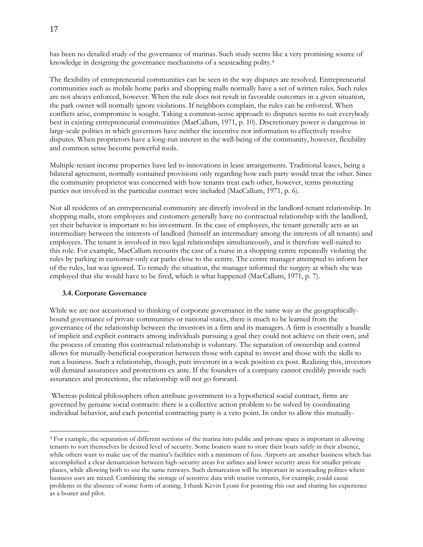has been no detailed study of the governance of marinas. Such study seems like a very promising source of knowledge in designing the governance mechanisms of a seasteading polity.<sup>4</sup>

The flexibility of entrepreneurial communities can be seen in the way disputes are resolved. Entrepreneurial communities such as mobile home parks and shopping malls normally have a set of written rules. Such rules are not always enforced, however. When the rule does not result in favorable outcomes in a given situation, the park owner will normally ignore violations. If neighbors complain, the rules can be enforced. When conflicts arise, compromise is sought. Taking a common-sense approach to disputes seems to suit everybody best in existing entrepreneurial communities (MacCallum, 1971, p. 10). Discretionary power is dangerous in large-scale polities in which governors have neither the incentive nor information to effectively resolve disputes. When proprietors have a long-run interest in the well-being of the community, however, flexibility and common sense become powerful tools.

Multiple-tenant income properties have led to innovations in lease arrangements. Traditional leases, being a bilateral agreement, normally contained provisions only regarding how each party would treat the other. Since the community proprietor was concerned with how tenants treat each other, however, terms protecting parties not involved in the particular contract were included (MacCallum, 1971, p. 6).

Not all residents of an entrepreneurial community are directly involved in the landlord-tenant relationship. In shopping malls, store employees and customers generally have no contractual relationship with the landlord, yet their behavior is important to his investment. In the case of employees, the tenant generally acts as an intermediary between the interests of landlord (himself an intermediary among the interests of all tenants) and employees. The tenant is involved in two legal relationships simultaneously, and is therefore well-suited to this role. For example, MacCallum recounts the case of a nurse in a shopping centre repeatedly violating the rules by parking in customer-only car parks close to the centre. The centre manager attempted to inform her of the rules, but was ignored. To remedy the situation, the manager informed the surgery at which she was employed that she would have to be fired, which is what happened (MacCallum, 1971, p. 7).

#### **3.4. Corporate Governance**

 $\overline{a}$ 

While we are not accustomed to thinking of corporate governance in the same way as the geographicallybound governance of private communities or national states, there is much to be learned from the governance of the relationship between the investors in a firm and its managers.A firm is essentially a bundle of implicit and explicit contracts among individuals pursuing a goal they could not achieve on their own, and the process of creating this contractual relationship is voluntary. The separation of ownership and control allows for mutually-beneficial cooperation between those with capital to invest and those with the skills to run a business. Such a relationship, though, puts investors in a weak position ex post. Realizing this, investors will demand assurances and protections ex ante. If the founders of a company cannot credibly provide such assurances and protections, the relationship will not go forward.

Whereas political philosophers often attribute government to a hypothetical social contract, firms are governed by genuine social contracts: there is a collective action problem to be solved by coordinating individual behavior, and each potential contracting party is a veto point. In order to allow this mutually-

<sup>4</sup> For example, the separation of different sections of the marina into public and private space is important in allowing tenants to sort themselves by desired level of security. Some boaters want to store their boats safely in their absence, while others want to make use of the marina's facilities with a minimum of fuss. Airports are another business which has accomplished a clear demarcation between high-security areas for airlines and lower security areas for smaller private planes, while allowing both to use the same runways. Such demarcation will be important in seasteading polities where business uses are mixed. Combining the storage of sensitive data with tourist ventures, for example, could cause problems in the absence of some form of zoning. I thank Kevin Lyons for pointing this out and sharing his experience as a boater and pilot.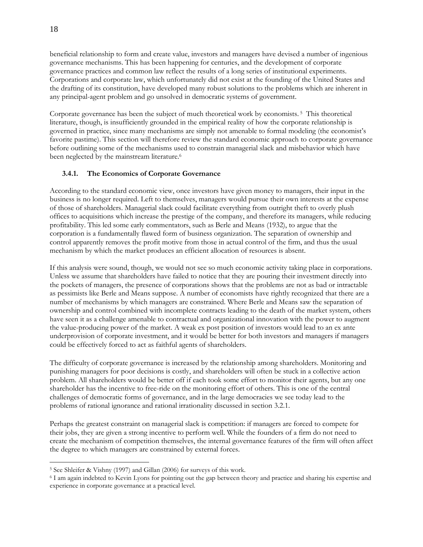beneficial relationship to form and create value, investors and managers have devised a number of ingenious governance mechanisms. This has been happening for centuries, and the development of corporate governance practices and common law reflect the results of a long series of institutional experiments. Corporations and corporate law, which unfortunately did not exist at the founding of the United States and the drafting of its constitution, have developed many robust solutions to the problems which are inherent in any principal-agent problem and go unsolved in democratic systems of government.

Corporate governance has been the subject of much theoretical work by economists. <sup>5</sup> This theoretical literature, though, is insufficiently grounded in the empirical reality of how the corporate relationship is governed in practice, since many mechanisms are simply not amenable to formal modeling (the economist's favorite pastime). This section will therefore review the standard economic approach to corporate governance before outlining some of the mechanisms used to constrain managerial slack and misbehavior which have been neglected by the mainstream literature.<sup>6</sup>

# **3.4.1. The Economics of Corporate Governance**

According to the standard economic view, once investors have given money to managers, their input in the business is no longer required. Left to themselves, managers would pursue their own interests at the expense of those of shareholders. Managerial slack could facilitate everything from outright theft to overly plush offices to acquisitions which increase the prestige of the company, and therefore its managers, while reducing profitability. This led some early commentators, such as Berle and Means (1932), to argue that the corporation is a fundamentally flawed form of business organization. The separation of ownership and control apparently removes the profit motive from those in actual control of the firm, and thus the usual mechanism by which the market produces an efficient allocation of resources is absent.

If this analysis were sound, though, we would not see so much economic activity taking place in corporations. Unless we assume that shareholders have failed to notice that they are pouring their investment directly into the pockets of managers, the presence of corporations shows that the problems are not as bad or intractable as pessimists like Berle and Means suppose. A number of economists have rightly recognized that there are a number of mechanisms by which managers are constrained. Where Berle and Means saw the separation of ownership and control combined with incomplete contracts leading to the death of the market system, others have seen it as a challenge amenable to contractual and organizational innovation with the power to augment the value-producing power of the market. A weak ex post position of investors would lead to an ex ante underprovision of corporate investment, and it would be better for both investors and managers if managers could be effectively forced to act as faithful agents of shareholders.

The difficulty of corporate governance is increased by the relationship among shareholders. Monitoring and punishing managers for poor decisions is costly, and shareholders will often be stuck in a collective action problem. All shareholders would be better off if each took some effort to monitor their agents, but any one shareholder has the incentive to free-ride on the monitoring effort of others. This is one of the central challenges of democratic forms of governance, and in the large democracies we see today lead to the problems of rational ignorance and rational irrationality discussed in section 3.2.1.

Perhaps the greatest constraint on managerial slack is competition: if managers are forced to compete for their jobs, they are given a strong incentive to perform well. While the founders of a firm do not need to create the mechanism of competition themselves, the internal governance features of the firm will often affect the degree to which managers are constrained by external forces.

 $\overline{a}$ 

<sup>5</sup> See Shleifer & Vishny (1997) and Gillan (2006) for surveys of this work.

<sup>6</sup> I am again indebted to Kevin Lyons for pointing out the gap between theory and practice and sharing his expertise and experience in corporate governance at a practical level.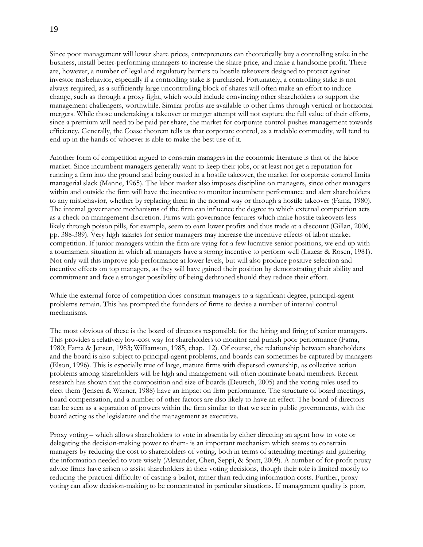Since poor management will lower share prices, entrepreneurs can theoretically buy a controlling stake in the business, install better-performing managers to increase the share price, and make a handsome profit. There are, however, a number of legal and regulatory barriers to hostile takeovers designed to protect against investor misbehavior, especially if a controlling stake is purchased. Fortunately, a controlling stake is not always required, as a sufficiently large uncontrolling block of shares will often make an effort to induce change, such as through a proxy fight, which would include convincing other shareholders to support the management challengers, worthwhile. Similar profits are available to other firms through vertical or horizontal mergers. While those undertaking a takeover or merger attempt will not capture the full value of their efforts, since a premium will need to be paid per share, the market for corporate control pushes management towards efficiency. Generally, the Coase theorem tells us that corporate control, as a tradable commodity, will tend to end up in the hands of whoever is able to make the best use of it.

Another form of competition argued to constrain managers in the economic literature is that of the labor market. Since incumbent managers generally want to keep their jobs, or at least not get a reputation for running a firm into the ground and being ousted in a hostile takeover, the market for corporate control limits managerial slack (Manne, 1965). The labor market also imposes discipline on managers, since other managers within and outside the firm will have the incentive to monitor incumbent performance and alert shareholders to any misbehavior, whether by replacing them in the normal way or through a hostile takeover (Fama, 1980). The internal governance mechanisms of the firm can influence the degree to which external competition acts as a check on management discretion. Firms with governance features which make hostile takeovers less likely through poison pills, for example, seem to earn lower profits and thus trade at a discount (Gillan, 2006, pp. 388-389). Very high salaries for senior managers may increase the incentive effects of labor market competition. If junior managers within the firm are vying for a few lucrative senior positions, we end up with a tournament situation in which all managers have a strong incentive to perform well (Lazear & Rosen, 1981). Not only will this improve job performance at lower levels, but will also produce positive selection and incentive effects on top managers, as they will have gained their position by demonstrating their ability and commitment and face a stronger possibility of being dethroned should they reduce their effort.

While the external force of competition does constrain managers to a significant degree, principal-agent problems remain. This has prompted the founders of firms to devise a number of internal control mechanisms.

The most obvious of these is the board of directors responsible for the hiring and firing of senior managers. This provides a relatively low-cost way for shareholders to monitor and punish poor performance (Fama, 1980; Fama & Jensen, 1983; Williamson, 1985, chap. 12). Of course, the relationship between shareholders and the board is also subject to principal-agent problems, and boards can sometimes be captured by managers (Elson, 1996). This is especially true of large, mature firms with dispersed ownership, as collective action problems among shareholders will be high and management will often nominate board members. Recent research has shown that the composition and size of boards (Deutsch, 2005) and the voting rules used to elect them (Jensen & Warner, 1988) have an impact on firm performance. The structure of board meetings, board compensation, and a number of other factors are also likely to have an effect. The board of directors can be seen as a separation of powers within the firm similar to that we see in public governments, with the board acting as the legislature and the management as executive.

Proxy voting – which allows shareholders to vote in absentia by either directing an agent how to vote or delegating the decision-making power to them- is an important mechanism which seems to constrain managers by reducing the cost to shareholders of voting, both in terms of attending meetings and gathering the information needed to vote wisely (Alexander, Chen, Seppi, & Spatt, 2009). A number of for-profit proxy advice firms have arisen to assist shareholders in their voting decisions, though their role is limited mostly to reducing the practical difficulty of casting a ballot, rather than reducing information costs. Further, proxy voting can allow decision-making to be concentrated in particular situations. If management quality is poor,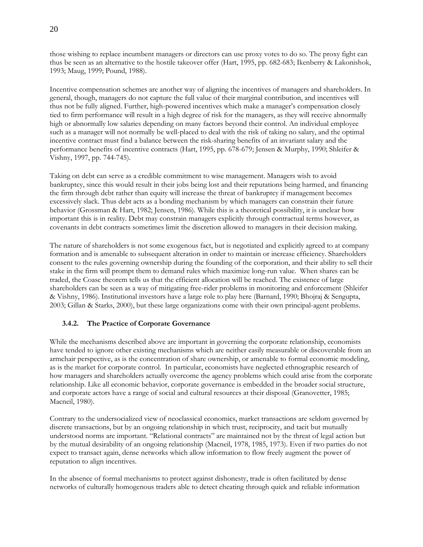those wishing to replace incumbent managers or directors can use proxy votes to do so. The proxy fight can thus be seen as an alternative to the hostile takeover offer (Hart, 1995, pp. 682-683; Ikenberry & Lakonishok, 1993; Maug, 1999; Pound, 1988).

Incentive compensation schemes are another way of aligning the incentives of managers and shareholders. In general, though, managers do not capture the full value of their marginal contribution, and incentives will thus not be fully aligned. Further, high-powered incentives which make a manager's compensation closely tied to firm performance will result in a high degree of risk for the managers, as they will receive abnormally high or abnormally low salaries depending on many factors beyond their control. An individual employee such as a manager will not normally be well-placed to deal with the risk of taking no salary, and the optimal incentive contract must find a balance between the risk-sharing benefits of an invariant salary and the performance benefits of incentive contracts (Hart, 1995, pp. 678-679; Jensen & Murphy, 1990; Shleifer & Vishny, 1997, pp. 744-745).

Taking on debt can serve as a credible commitment to wise management. Managers wish to avoid bankruptcy, since this would result in their jobs being lost and their reputations being harmed, and financing the firm through debt rather than equity will increase the threat of bankruptcy if management becomes excessively slack. Thus debt acts as a bonding mechanism by which managers can constrain their future behavior (Grossman & Hart, 1982; Jensen, 1986). While this is a theoretical possibility, it is unclear how important this is in reality. Debt may constrain managers explicitly through contractual terms however, as covenants in debt contracts sometimes limit the discretion allowed to managers in their decision making.

The nature of shareholders is not some exogenous fact, but is negotiated and explicitly agreed to at company formation and is amenable to subsequent alteration in order to maintain or increase efficiency. Shareholders consent to the rules governing ownership during the founding of the corporation, and their ability to sell their stake in the firm will prompt them to demand rules which maximize long-run value. When shares can be traded, the Coase theorem tells us that the efficient allocation will be reached. The existence of large shareholders can be seen as a way of mitigating free-rider problems in monitoring and enforcement (Shleifer & Vishny, 1986). Institutional investors have a large role to play here (Barnard, 1990; Bhojraj & Sengupta, 2003; Gillan & Starks, 2000), but these large organizations come with their own principal-agent problems.

# **3.4.2. The Practice of Corporate Governance**

While the mechanisms described above are important in governing the corporate relationship, economists have tended to ignore other existing mechanisms which are neither easily measurable or discoverable from an armchair perspective, as is the concentration of share ownership, or amenable to formal economic modeling, as is the market for corporate control. In particular, economists have neglected ethnographic research of how managers and shareholders actually overcome the agency problems which could arise from the corporate relationship. Like all economic behavior, corporate governance is embedded in the broader social structure, and corporate actors have a range of social and cultural resources at their disposal (Granovetter, 1985; Macneil, 1980).

Contrary to the undersocialized view of neoclassical economics, market transactions are seldom governed by discrete transactions, but by an ongoing relationship in which trust, reciprocity, and tacit but mutually understood norms are important. "Relational contracts" are maintained not by the threat of legal action but by the mutual desirability of an ongoing relationship (Macneil, 1978, 1985, 1973). Even if two parties do not expect to transact again, dense networks which allow information to flow freely augment the power of reputation to align incentives.

In the absence of formal mechanisms to protect against dishonesty, trade is often facilitated by dense networks of culturally homogenous traders able to detect cheating through quick and reliable information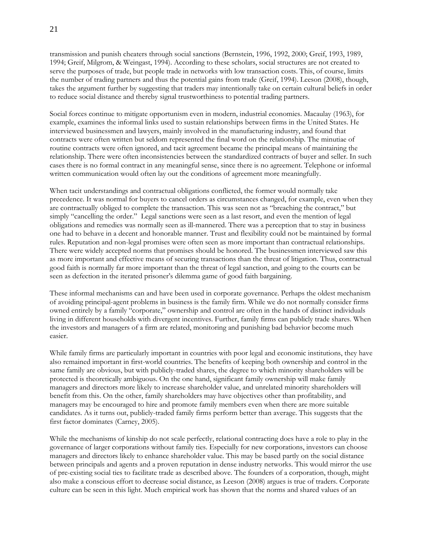transmission and punish cheaters through social sanctions (Bernstein, 1996, 1992, 2000; Greif, 1993, 1989, 1994; Greif, Milgrom, & Weingast, 1994). According to these scholars, social structures are not created to serve the purposes of trade, but people trade in networks with low transaction costs. This, of course, limits the number of trading partners and thus the potential gains from trade (Greif, 1994). Leeson (2008), though, takes the argument further by suggesting that traders may intentionally take on certain cultural beliefs in order to reduce social distance and thereby signal trustworthiness to potential trading partners.

Social forces continue to mitigate opportunism even in modern, industrial economies. Macaulay (1963), for example, examines the informal links used to sustain relationships between firms in the United States. He interviewed businessmen and lawyers, mainly involved in the manufacturing industry, and found that contracts were often written but seldom represented the final word on the relationship. The minutiae of routine contracts were often ignored, and tacit agreement became the principal means of maintaining the relationship. There were often inconsistencies between the standardized contracts of buyer and seller. In such cases there is no formal contract in any meaningful sense, since there is no agreement. Telephone or informal written communication would often lay out the conditions of agreement more meaningfully.

When tacit understandings and contractual obligations conflicted, the former would normally take precedence. It was normal for buyers to cancel orders as circumstances changed, for example, even when they are contractually obliged to complete the transaction. This was seen not as "breaching the contract," but simply "cancelling the order." Legal sanctions were seen as a last resort, and even the mention of legal obligations and remedies was normally seen as ill-mannered. There was a perception that to stay in business one had to behave in a decent and honorable manner. Trust and flexibility could not be maintained by formal rules. Reputation and non-legal promises were often seen as more important than contractual relationships. There were widely accepted norms that promises should be honored. The businessmen interviewed saw this as more important and effective means of securing transactions than the threat of litigation. Thus, contractual good faith is normally far more important than the threat of legal sanction, and going to the courts can be seen as defection in the iterated prisoner's dilemma game of good faith bargaining.

These informal mechanisms can and have been used in corporate governance. Perhaps the oldest mechanism of avoiding principal-agent problems in business is the family firm. While we do not normally consider firms owned entirely by a family "corporate," ownership and control are often in the hands of distinct individuals living in different households with divergent incentives. Further, family firms can publicly trade shares. When the investors and managers of a firm are related, monitoring and punishing bad behavior become much easier.

While family firms are particularly important in countries with poor legal and economic institutions, they have also remained important in first-world countries. The benefits of keeping both ownership and control in the same family are obvious, but with publicly-traded shares, the degree to which minority shareholders will be protected is theoretically ambiguous. On the one hand, significant family ownership will make family managers and directors more likely to increase shareholder value, and unrelated minority shareholders will benefit from this. On the other, family shareholders may have objectives other than profitability, and managers may be encouraged to hire and promote family members even when there are more suitable candidates. As it turns out, publicly-traded family firms perform better than average. This suggests that the first factor dominates (Carney, 2005).

While the mechanisms of kinship do not scale perfectly, relational contracting does have a role to play in the governance of larger corporations without family ties. Especially for new corporations, investors can choose managers and directors likely to enhance shareholder value. This may be based partly on the social distance between principals and agents and a proven reputation in dense industry networks. This would mirror the use of pre-existing social ties to facilitate trade as described above. The founders of a corporation, though, might also make a conscious effort to decrease social distance, as Leeson (2008) argues is true of traders. Corporate culture can be seen in this light. Much empirical work has shown that the norms and shared values of an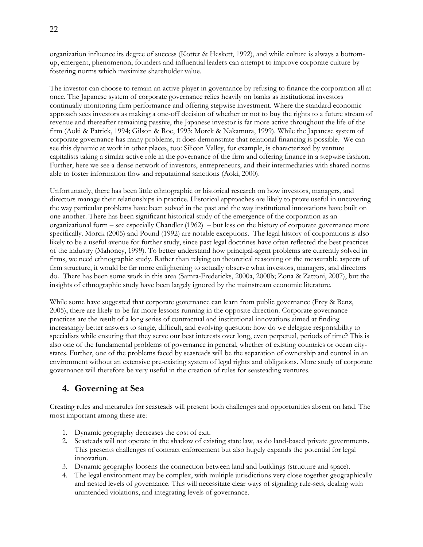organization influence its degree of success (Kotter & Heskett, 1992), and while culture is always a bottomup, emergent, phenomenon, founders and influential leaders can attempt to improve corporate culture by fostering norms which maximize shareholder value.

The investor can choose to remain an active player in governance by refusing to finance the corporation all at once. The Japanese system of corporate governance relies heavily on banks as institutional investors continually monitoring firm performance and offering stepwise investment. Where the standard economic approach sees investors as making a one-off decision of whether or not to buy the rights to a future stream of revenue and thereafter remaining passive, the Japanese investor is far more active throughout the life of the firm (Aoki & Patrick, 1994; Gilson & Roe, 1993; Morck & Nakamura, 1999). While the Japanese system of corporate governance has many problems, it does demonstrate that relational financing is possible. We can see this dynamic at work in other places, too: Silicon Valley, for example, is characterized by venture capitalists taking a similar active role in the governance of the firm and offering finance in a stepwise fashion. Further, here we see a dense network of investors, entrepreneurs, and their intermediaries with shared norms able to foster information flow and reputational sanctions (Aoki, 2000).

Unfortunately, there has been little ethnographic or historical research on how investors, managers, and directors manage their relationships in practice. Historical approaches are likely to prove useful in uncovering the way particular problems have been solved in the past and the way institutional innovations have built on one another. There has been significant historical study of the emergence of the corporation as an organizational form – see especially Chandler (1962) – but less on the history of corporate governance more specifically. Morck (2005) and Pound (1992) are notable exceptions. The legal history of corporations is also likely to be a useful avenue for further study, since past legal doctrines have often reflected the best practices of the industry (Mahoney, 1999). To better understand how principal-agent problems are currently solved in firms, we need ethnographic study. Rather than relying on theoretical reasoning or the measurable aspects of firm structure, it would be far more enlightening to actually observe what investors, managers, and directors do. There has been some work in this area (Samra-Fredericks, 2000a, 2000b; Zona & Zattoni, 2007), but the insights of ethnographic study have been largely ignored by the mainstream economic literature.

While some have suggested that corporate governance can learn from public governance (Frey & Benz, 2005), there are likely to be far more lessons running in the opposite direction. Corporate governance practices are the result of a long series of contractual and institutional innovations aimed at finding increasingly better answers to single, difficult, and evolving question: how do we delegate responsibility to specialists while ensuring that they serve our best interests over long, even perpetual, periods of time? This is also one of the fundamental problems of governance in general, whether of existing countries or ocean citystates. Further, one of the problems faced by seasteads will be the separation of ownership and control in an environment without an extensive pre-existing system of legal rights and obligations. More study of corporate governance will therefore be very useful in the creation of rules for seasteading ventures.

# **4. Governing at Sea**

Creating rules and metarules for seasteads will present both challenges and opportunities absent on land. The most important among these are:

- 1. Dynamic geography decreases the cost of exit.
- 2. Seasteads will not operate in the shadow of existing state law, as do land-based private governments. This presents challenges of contract enforcement but also hugely expands the potential for legal innovation.
- 3. Dynamic geography loosens the connection between land and buildings (structure and space).
- 4. The legal environment may be complex, with multiple jurisdictions very close together geographically and nested levels of governance. This will necessitate clear ways of signaling rule-sets, dealing with unintended violations, and integrating levels of governance.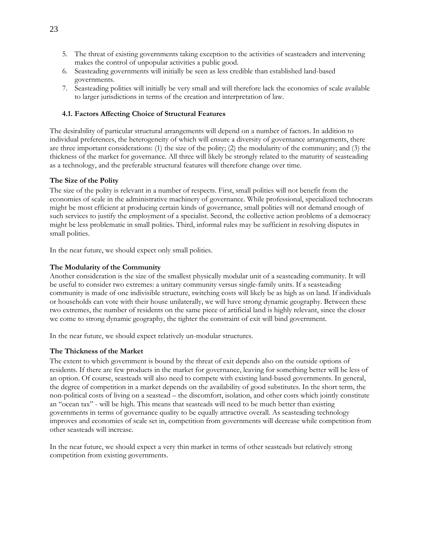- 5. The threat of existing governments taking exception to the activities of seasteaders and intervening makes the control of unpopular activities a public good.
- 6. Seasteading governments will initially be seen as less credible than established land-based governments.
- 7. Seasteading polities will initially be very small and will therefore lack the economies of scale available to larger jurisdictions in terms of the creation and interpretation of law.

### **4.1. Factors Affecting Choice of Structural Features**

The desirability of particular structural arrangements will depend on a number of factors. In addition to individual preferences, the heterogeneity of which will ensure a diversity of governance arrangements, there are three important considerations: (1) the size of the polity; (2) the modularity of the community; and (3) the thickness of the market for governance. All three will likely be strongly related to the maturity of seasteading as a technology, and the preferable structural features will therefore change over time.

#### **The Size of the Polity**

The size of the polity is relevant in a number of respects. First, small polities will not benefit from the economies of scale in the administrative machinery of governance. While professional, specialized technocrats might be most efficient at producing certain kinds of governance, small polities will not demand enough of such services to justify the employment of a specialist. Second, the collective action problems of a democracy might be less problematic in small polities. Third, informal rules may be sufficient in resolving disputes in small polities.

In the near future, we should expect only small polities.

#### **The Modularity of the Community**

Another consideration is the size of the smallest physically modular unit of a seasteading community. It will be useful to consider two extremes: a unitary community versus single-family units. If a seasteading community is made of one indivisible structure, switching costs will likely be as high as on land. If individuals or households can vote with their house unilaterally, we will have strong dynamic geography. Between these two extremes, the number of residents on the same piece of artificial land is highly relevant, since the closer we come to strong dynamic geography, the tighter the constraint of exit will bind government.

In the near future, we should expect relatively un-modular structures.

#### **The Thickness of the Market**

The extent to which government is bound by the threat of exit depends also on the outside options of residents. If there are few products in the market for governance, leaving for something better will be less of an option. Of course, seasteads will also need to compete with existing land-based governments. In general, the degree of competition in a market depends on the availability of good substitutes. In the short term, the non-political costs of living on a seastead – the discomfort, isolation, and other costs which jointly constitute an "ocean tax" - will be high. This means that seasteads will need to be much better than existing governments in terms of governance quality to be equally attractive overall. As seasteading technology improves and economies of scale set in, competition from governments will decrease while competition from other seasteads will increase.

In the near future, we should expect a very thin market in terms of other seasteads but relatively strong competition from existing governments.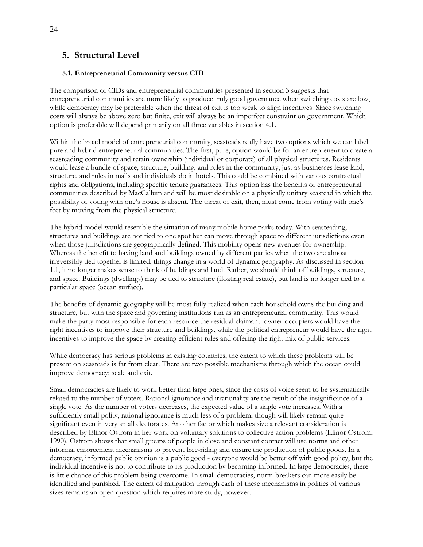# **5. Structural Level**

# **5.1. Entrepreneurial Community versus CID**

The comparison of CIDs and entrepreneurial communities presented in section 3 suggests that entrepreneurial communities are more likely to produce truly good governance when switching costs are low, while democracy may be preferable when the threat of exit is too weak to align incentives. Since switching costs will always be above zero but finite, exit will always be an imperfect constraint on government. Which option is preferable will depend primarily on all three variables in section 4.1.

Within the broad model of entrepreneurial community, seasteads really have two options which we can label pure and hybrid entrepreneurial communities. The first, pure, option would be for an entrepreneur to create a seasteading community and retain ownership (individual or corporate) of all physical structures. Residents would lease a bundle of space, structure, building, and rules in the community, just as businesses lease land, structure, and rules in malls and individuals do in hotels. This could be combined with various contractual rights and obligations, including specific tenure guarantees. This option has the benefits of entrepreneurial communities described by MacCallum and will be most desirable on a physically unitary seastead in which the possibility of voting with one's house is absent. The threat of exit, then, must come from voting with one's feet by moving from the physical structure.

The hybrid model would resemble the situation of many mobile home parks today. With seasteading, structures and buildings are not tied to one spot but can move through space to different jurisdictions even when those jurisdictions are geographically defined. This mobility opens new avenues for ownership. Whereas the benefit to having land and buildings owned by different parties when the two are almost irreversibly tied together is limited, things change in a world of dynamic geography. As discussed in section 1.1, it no longer makes sense to think of buildings and land. Rather, we should think of buildings, structure, and space. Buildings (dwellings) may be tied to structure (floating real estate), but land is no longer tied to a particular space (ocean surface).

The benefits of dynamic geography will be most fully realized when each household owns the building and structure, but with the space and governing institutions run as an entrepreneurial community. This would make the party most responsible for each resource the residual claimant: owner-occupiers would have the right incentives to improve their structure and buildings, while the political entrepreneur would have the right incentives to improve the space by creating efficient rules and offering the right mix of public services.

While democracy has serious problems in existing countries, the extent to which these problems will be present on seasteads is far from clear. There are two possible mechanisms through which the ocean could improve democracy: scale and exit.

Small democracies are likely to work better than large ones, since the costs of voice seem to be systematically related to the number of voters. Rational ignorance and irrationality are the result of the insignificance of a single vote. As the number of voters decreases, the expected value of a single vote increases. With a sufficiently small polity, rational ignorance is much less of a problem, though will likely remain quite significant even in very small electorates. Another factor which makes size a relevant consideration is described by Elinor Ostrom in her work on voluntary solutions to collective action problems (Elinor Ostrom, 1990). Ostrom shows that small groups of people in close and constant contact will use norms and other informal enforcement mechanisms to prevent free-riding and ensure the production of public goods. In a democracy, informed public opinion is a public good - everyone would be better off with good policy, but the individual incentive is not to contribute to its production by becoming informed. In large democracies, there is little chance of this problem being overcome. In small democracies, norm-breakers can more easily be identified and punished. The extent of mitigation through each of these mechanisms in polities of various sizes remains an open question which requires more study, however.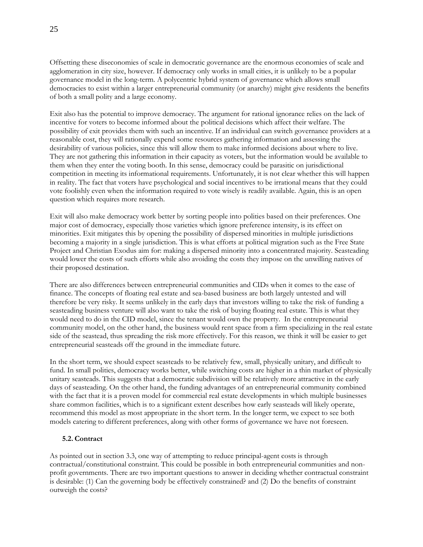Offsetting these diseconomies of scale in democratic governance are the enormous economies of scale and agglomeration in city size, however. If democracy only works in small cities, it is unlikely to be a popular governance model in the long-term. A polycentric hybrid system of governance which allows small democracies to exist within a larger entrepreneurial community (or anarchy) might give residents the benefits of both a small polity and a large economy.

Exit also has the potential to improve democracy. The argument for rational ignorance relies on the lack of incentive for voters to become informed about the political decisions which affect their welfare. The possibility of exit provides them with such an incentive. If an individual can switch governance providers at a reasonable cost, they will rationally expend some resources gathering information and assessing the desirability of various policies, since this will allow them to make informed decisions about where to live. They are not gathering this information in their capacity as voters, but the information would be available to them when they enter the voting booth. In this sense, democracy could be parasitic on jurisdictional competition in meeting its informational requirements. Unfortunately, it is not clear whether this will happen in reality. The fact that voters have psychological and social incentives to be irrational means that they could vote foolishly even when the information required to vote wisely is readily available. Again, this is an open question which requires more research.

Exit will also make democracy work better by sorting people into polities based on their preferences. One major cost of democracy, especially those varieties which ignore preference intensity, is its effect on minorities. Exit mitigates this by opening the possibility of dispersed minorities in multiple jurisdictions becoming a majority in a single jurisdiction. This is what efforts at political migration such as the Free State Project and Christian Exodus aim for: making a dispersed minority into a concentrated majority. Seasteading would lower the costs of such efforts while also avoiding the costs they impose on the unwilling natives of their proposed destination.

There are also differences between entrepreneurial communities and CIDs when it comes to the ease of finance. The concepts of floating real estate and sea-based business are both largely untested and will therefore be very risky. It seems unlikely in the early days that investors willing to take the risk of funding a seasteading business venture will also want to take the risk of buying floating real estate. This is what they would need to do in the CID model, since the tenant would own the property. In the entrepreneurial community model, on the other hand, the business would rent space from a firm specializing in the real estate side of the seastead, thus spreading the risk more effectively. For this reason, we think it will be easier to get entrepreneurial seasteads off the ground in the immediate future.

In the short term, we should expect seasteads to be relatively few, small, physically unitary, and difficult to fund. In small polities, democracy works better, while switching costs are higher in a thin market of physically unitary seasteads. This suggests that a democratic subdivision will be relatively more attractive in the early days of seasteading. On the other hand, the funding advantages of an entrepreneurial community combined with the fact that it is a proven model for commercial real estate developments in which multiple businesses share common facilities, which is to a significant extent describes how early seasteads will likely operate, recommend this model as most appropriate in the short term. In the longer term, we expect to see both models catering to different preferences, along with other forms of governance we have not foreseen.

#### **5.2. Contract**

As pointed out in section 3.3, one way of attempting to reduce principal-agent costs is through contractual/constitutional constraint. This could be possible in both entrepreneurial communities and nonprofit governments. There are two important questions to answer in deciding whether contractual constraint is desirable: (1) Can the governing body be effectively constrained? and (2) Do the benefits of constraint outweigh the costs?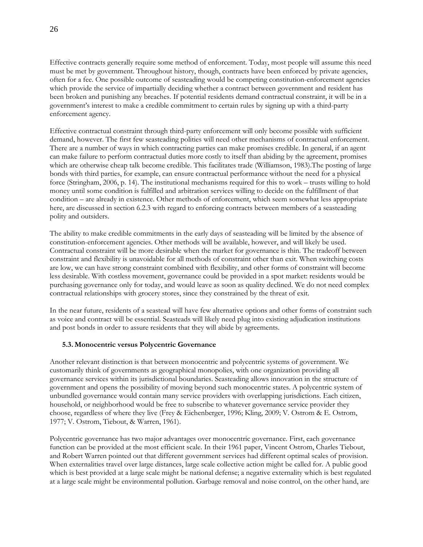Effective contracts generally require some method of enforcement. Today, most people will assume this need must be met by government. Throughout history, though, contracts have been enforced by private agencies, often for a fee. One possible outcome of seasteading would be competing constitution-enforcement agencies which provide the service of impartially deciding whether a contract between government and resident has been broken and punishing any breaches. If potential residents demand contractual constraint, it will be in a government's interest to make a credible commitment to certain rules by signing up with a third-party enforcement agency.

Effective contractual constraint through third-party enforcement will only become possible with sufficient demand, however. The first few seasteading polities will need other mechanisms of contractual enforcement. There are a number of ways in which contracting parties can make promises credible. In general, if an agent can make failure to perform contractual duties more costly to itself than abiding by the agreement, promises which are otherwise cheap talk become credible. This facilitates trade (Williamson, 1983).The posting of large bonds with third parties, for example, can ensure contractual performance without the need for a physical force (Stringham, 2006, p. 14). The institutional mechanisms required for this to work – trusts willing to hold money until some condition is fulfilled and arbitration services willing to decide on the fulfillment of that condition – are already in existence. Other methods of enforcement, which seem somewhat less appropriate here, are discussed in section 6.2.3 with regard to enforcing contracts between members of a seasteading polity and outsiders.

The ability to make credible commitments in the early days of seasteading will be limited by the absence of constitution-enforcement agencies. Other methods will be available, however, and will likely be used. Contractual constraint will be more desirable when the market for governance is thin. The tradeoff between constraint and flexibility is unavoidable for all methods of constraint other than exit. When switching costs are low, we can have strong constraint combined with flexibility, and other forms of constraint will become less desirable. With costless movement, governance could be provided in a spot market: residents would be purchasing governance only for today, and would leave as soon as quality declined. We do not need complex contractual relationships with grocery stores, since they constrained by the threat of exit.

In the near future, residents of a seastead will have few alternative options and other forms of constraint such as voice and contract will be essential. Seasteads will likely need plug into existing adjudication institutions and post bonds in order to assure residents that they will abide by agreements.

#### **5.3. Monocentric versus Polycentric Governance**

Another relevant distinction is that between monocentric and polycentric systems of government. We customarily think of governments as geographical monopolies, with one organization providing all governance services within its jurisdictional boundaries. Seasteading allows innovation in the structure of government and opens the possibility of moving beyond such monocentric states. A polycentric system of unbundled governance would contain many service providers with overlapping jurisdictions. Each citizen, household, or neighborhood would be free to subscribe to whatever governance service provider they choose, regardless of where they live (Frey & Eichenberger, 1996; Kling, 2009; V. Ostrom & E. Ostrom, 1977; V. Ostrom, Tiebout, & Warren, 1961).

Polycentric governance has two major advantages over monocentric governance. First, each governance function can be provided at the most efficient scale. In their 1961 paper, Vincent Ostrom, Charles Tiebout, and Robert Warren pointed out that different government services had different optimal scales of provision. When externalities travel over large distances, large scale collective action might be called for. A public good which is best provided at a large scale might be national defense; a negative externality which is best regulated at a large scale might be environmental pollution. Garbage removal and noise control, on the other hand, are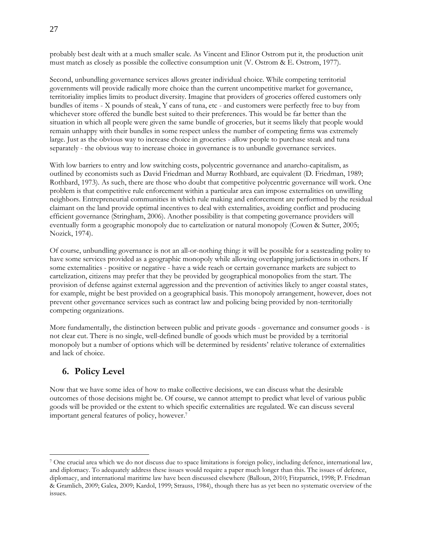probably best dealt with at a much smaller scale. As Vincent and Elinor Ostrom put it, the production unit must match as closely as possible the collective consumption unit (V. Ostrom & E. Ostrom, 1977).

Second, unbundling governance services allows greater individual choice. While competing territorial governments will provide radically more choice than the current uncompetitive market for governance, territoriality implies limits to product diversity. Imagine that providers of groceries offered customers only bundles of items - X pounds of steak, Y cans of tuna, etc - and customers were perfectly free to buy from whichever store offered the bundle best suited to their preferences. This would be far better than the situation in which all people were given the same bundle of groceries, but it seems likely that people would remain unhappy with their bundles in some respect unless the number of competing firms was extremely large. Just as the obvious way to increase choice in groceries - allow people to purchase steak and tuna separately - the obvious way to increase choice in governance is to unbundle governance services.

With low barriers to entry and low switching costs, polycentric governance and anarcho-capitalism, as outlined by economists such as David Friedman and Murray Rothbard, are equivalent (D. Friedman, 1989; Rothbard, 1973). As such, there are those who doubt that competitive polycentric governance will work. One problem is that competitive rule enforcement within a particular area can impose externalities on unwilling neighbors. Entrepreneurial communities in which rule making and enforcement are performed by the residual claimant on the land provide optimal incentives to deal with externalities, avoiding conflict and producing efficient governance (Stringham, 2006). Another possibility is that competing governance providers will eventually form a geographic monopoly due to cartelization or natural monopoly (Cowen & Sutter, 2005; Nozick, 1974).

Of course, unbundling governance is not an all-or-nothing thing: it will be possible for a seasteading polity to have some services provided as a geographic monopoly while allowing overlapping jurisdictions in others. If some externalities - positive or negative - have a wide reach or certain governance markets are subject to cartelization, citizens may prefer that they be provided by geographical monopolies from the start. The provision of defense against external aggression and the prevention of activities likely to anger coastal states, for example, might be best provided on a geographical basis. This monopoly arrangement, however, does not prevent other governance services such as contract law and policing being provided by non-territorially competing organizations.

More fundamentally, the distinction between public and private goods - governance and consumer goods - is not clear cut. There is no single, well-defined bundle of goods which must be provided by a territorial monopoly but a number of options which will be determined by residents' relative tolerance of externalities and lack of choice.

# **6. Policy Level**

 $\overline{a}$ 

Now that we have some idea of how to make collective decisions, we can discuss what the desirable outcomes of those decisions might be. Of course, we cannot attempt to predict what level of various public goods will be provided or the extent to which specific externalities are regulated. We can discuss several important general features of policy, however. 7

<sup>7</sup> One crucial area which we do not discuss due to space limitations is foreign policy, including defence, international law, and diplomacy. To adequately address these issues would require a paper much longer than this. The issues of defence, diplomacy, and international maritime law have been discussed elsewhere (Balloun, 2010; Fitzpatrick, 1998; P. Friedman & Gramlich, 2009; Galea, 2009; Kardol, 1999; Strauss, 1984), though there has as yet been no systematic overview of the issues.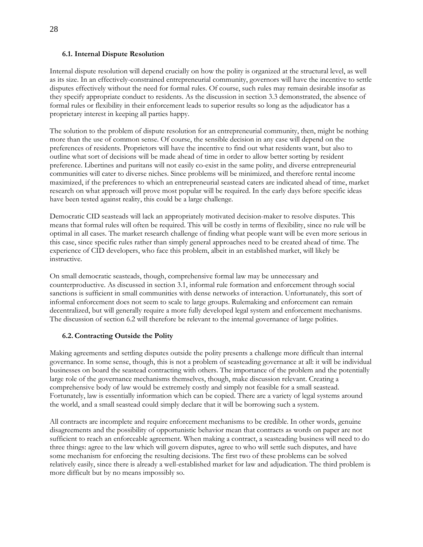#### **6.1. Internal Dispute Resolution**

Internal dispute resolution will depend crucially on how the polity is organized at the structural level, as well as its size. In an effectively-constrained entrepreneurial community, governors will have the incentive to settle disputes effectively without the need for formal rules. Of course, such rules may remain desirable insofar as they specify appropriate conduct to residents. As the discussion in section 3.3 demonstrated, the absence of formal rules or flexibility in their enforcement leads to superior results so long as the adjudicator has a proprietary interest in keeping all parties happy.

The solution to the problem of dispute resolution for an entrepreneurial community, then, might be nothing more than the use of common sense. Of course, the sensible decision in any case will depend on the preferences of residents. Proprietors will have the incentive to find out what residents want, but also to outline what sort of decisions will be made ahead of time in order to allow better sorting by resident preference. Libertines and puritans will not easily co-exist in the same polity, and diverse entrepreneurial communities will cater to diverse niches. Since problems will be minimized, and therefore rental income maximized, if the preferences to which an entrepreneurial seastead caters are indicated ahead of time, market research on what approach will prove most popular will be required. In the early days before specific ideas have been tested against reality, this could be a large challenge.

Democratic CID seasteads will lack an appropriately motivated decision-maker to resolve disputes. This means that formal rules will often be required. This will be costly in terms of flexibility, since no rule will be optimal in all cases. The market research challenge of finding what people want will be even more serious in this case, since specific rules rather than simply general approaches need to be created ahead of time. The experience of CID developers, who face this problem, albeit in an established market, will likely be instructive.

On small democratic seasteads, though, comprehensive formal law may be unnecessary and counterproductive. As discussed in section 3.1, informal rule formation and enforcement through social sanctions is sufficient in small communities with dense networks of interaction. Unfortunately, this sort of informal enforcement does not seem to scale to large groups. Rulemaking and enforcement can remain decentralized, but will generally require a more fully developed legal system and enforcement mechanisms. The discussion of section 6.2 will therefore be relevant to the internal governance of large polities.

# **6.2. Contracting Outside the Polity**

Making agreements and settling disputes outside the polity presents a challenge more difficult than internal governance. In some sense, though, this is not a problem of seasteading governance at all: it will be individual businesses on board the seastead contracting with others. The importance of the problem and the potentially large role of the governance mechanisms themselves, though, make discussion relevant. Creating a comprehensive body of law would be extremely costly and simply not feasible for a small seastead. Fortunately, law is essentially information which can be copied. There are a variety of legal systems around the world, and a small seastead could simply declare that it will be borrowing such a system.

All contracts are incomplete and require enforcement mechanisms to be credible. In other words, genuine disagreements and the possibility of opportunistic behavior mean that contracts as words on paper are not sufficient to reach an enforceable agreement. When making a contract, a seasteading business will need to do three things: agree to the law which will govern disputes, agree to who will settle such disputes, and have some mechanism for enforcing the resulting decisions. The first two of these problems can be solved relatively easily, since there is already a well-established market for law and adjudication. The third problem is more difficult but by no means impossibly so.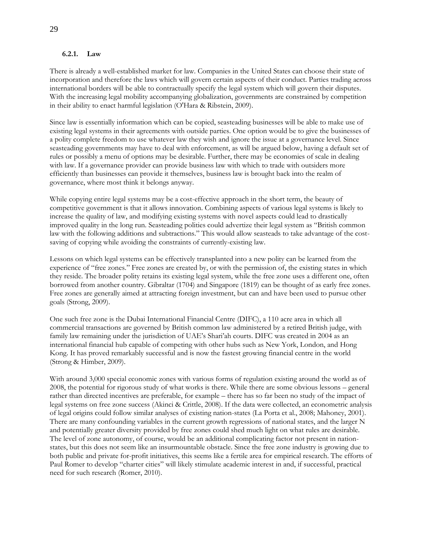#### **6.2.1. Law**

There is already a well-established market for law. Companies in the United States can choose their state of incorporation and therefore the laws which will govern certain aspects of their conduct. Parties trading across international borders will be able to contractually specify the legal system which will govern their disputes. With the increasing legal mobility accompanying globalization, governments are constrained by competition in their ability to enact harmful legislation (O'Hara & Ribstein, 2009).

Since law is essentially information which can be copied, seasteading businesses will be able to make use of existing legal systems in their agreements with outside parties. One option would be to give the businesses of a polity complete freedom to use whatever law they wish and ignore the issue at a governance level. Since seasteading governments may have to deal with enforcement, as will be argued below, having a default set of rules or possibly a menu of options may be desirable. Further, there may be economies of scale in dealing with law. If a governance provider can provide business law with which to trade with outsiders more efficiently than businesses can provide it themselves, business law is brought back into the realm of governance, where most think it belongs anyway.

While copying entire legal systems may be a cost-effective approach in the short term, the beauty of competitive government is that it allows innovation. Combining aspects of various legal systems is likely to increase the quality of law, and modifying existing systems with novel aspects could lead to drastically improved quality in the long run. Seasteading polities could advertize their legal system as "British common" law with the following additions and subtractions." This would allow seasteads to take advantage of the costsaving of copying while avoiding the constraints of currently-existing law.

Lessons on which legal systems can be effectively transplanted into a new polity can be learned from the experience of "free zones." Free zones are created by, or with the permission of, the existing states in which they reside. The broader polity retains its existing legal system, while the free zone uses a different one, often borrowed from another country. Gibraltar (1704) and Singapore (1819) can be thought of as early free zones. Free zones are generally aimed at attracting foreign investment, but can and have been used to pursue other goals (Strong, 2009).

One such free zone is the Dubai International Financial Centre (DIFC), a 110 acre area in which all commercial transactions are governed by British common law administered by a retired British judge, with family law remaining under the jurisdiction of UAE's Shari'ah courts. DIFC was created in 2004 as an international financial hub capable of competing with other hubs such as New York, London, and Hong Kong. It has proved remarkably successful and is now the fastest growing financial centre in the world (Strong & Himber, 2009).

With around 3,000 special economic zones with various forms of regulation existing around the world as of 2008, the potential for rigorous study of what works is there. While there are some obvious lessons – general rather than directed incentives are preferable, for example – there has so far been no study of the impact of legal systems on free zone success (Akinci & Crittle, 2008). If the data were collected, an econometric analysis of legal origins could follow similar analyses of existing nation-states (La Porta et al., 2008; Mahoney, 2001). There are many confounding variables in the current growth regressions of national states, and the larger N and potentially greater diversity provided by free zones could shed much light on what rules are desirable. The level of zone autonomy, of course, would be an additional complicating factor not present in nationstates, but this does not seem like an insurmountable obstacle. Since the free zone industry is growing due to both public and private for-profit initiatives, this seems like a fertile area for empirical research. The efforts of Paul Romer to develop "charter cities" will likely stimulate academic interest in and, if successful, practical need for such research (Romer, 2010).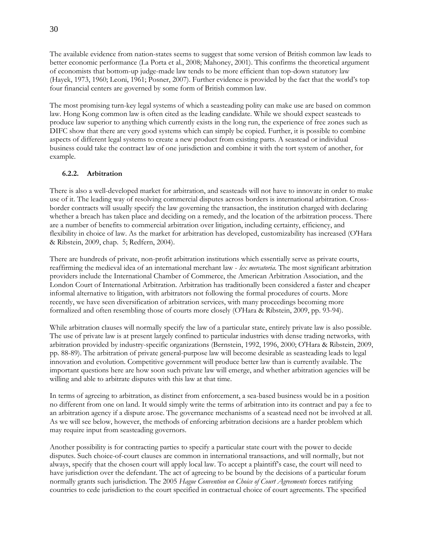The available evidence from nation-states seems to suggest that some version of British common law leads to better economic performance (La Porta et al., 2008; Mahoney, 2001). This confirms the theoretical argument of economists that bottom-up judge-made law tends to be more efficient than top-down statutory law (Hayek, 1973, 1960; Leoni, 1961; Posner, 2007). Further evidence is provided by the fact that the world's top four financial centers are governed by some form of British common law.

The most promising turn-key legal systems of which a seasteading polity can make use are based on common law. Hong Kong common law is often cited as the leading candidate. While we should expect seasteads to produce law superior to anything which currently exists in the long run, the experience of free zones such as DIFC show that there are very good systems which can simply be copied. Further, it is possible to combine aspects of different legal systems to create a new product from existing parts. A seastead or individual business could take the contract law of one jurisdiction and combine it with the tort system of another, for example.

#### **6.2.2. Arbitration**

There is also a well-developed market for arbitration, and seasteads will not have to innovate in order to make use of it. The leading way of resolving commercial disputes across borders is international arbitration. Crossborder contracts will usually specify the law governing the transaction, the institution charged with declaring whether a breach has taken place and deciding on a remedy, and the location of the arbitration process. There are a number of benefits to commercial arbitration over litigation, including certainty, efficiency, and flexibility in choice of law. As the market for arbitration has developed, customizability has increased (O'Hara & Ribstein, 2009, chap. 5; Redfern, 2004).

There are hundreds of private, non-profit arbitration institutions which essentially serve as private courts, reaffirming the medieval idea of an international merchant law - *lex mercatoria*. The most significant arbitration providers include the International Chamber of Commerce, the American Arbitration Association, and the London Court of International Arbitration. Arbitration has traditionally been considered a faster and cheaper informal alternative to litigation, with arbitrators not following the formal procedures of courts. More recently, we have seen diversification of arbitration services, with many proceedings becoming more formalized and often resembling those of courts more closely (O'Hara & Ribstein, 2009, pp. 93-94).

While arbitration clauses will normally specify the law of a particular state, entirely private law is also possible. The use of private law is at present largely confined to particular industries with dense trading networks, with arbitration provided by industry-specific organizations (Bernstein, 1992, 1996, 2000; O'Hara & Ribstein, 2009, pp. 88-89). The arbitration of private general-purpose law will become desirable as seasteading leads to legal innovation and evolution. Competitive government will produce better law than is currently available. The important questions here are how soon such private law will emerge, and whether arbitration agencies will be willing and able to arbitrate disputes with this law at that time.

In terms of agreeing to arbitration, as distinct from enforcement, a sea-based business would be in a position no different from one on land. It would simply write the terms of arbitration into its contract and pay a fee to an arbitration agency if a dispute arose. The governance mechanisms of a seastead need not be involved at all. As we will see below, however, the methods of enforcing arbitration decisions are a harder problem which may require input from seasteading governors.

Another possibility is for contracting parties to specify a particular state court with the power to decide disputes. Such choice-of-court clauses are common in international transactions, and will normally, but not always, specify that the chosen court will apply local law. To accept a plaintiff's case, the court will need to have jurisdiction over the defendant. The act of agreeing to be bound by the decisions of a particular forum normally grants such jurisdiction. The 2005 *Hague Convention on Choice of Court Agreements* forces ratifying countries to cede jurisdiction to the court specified in contractual choice of court agreements. The specified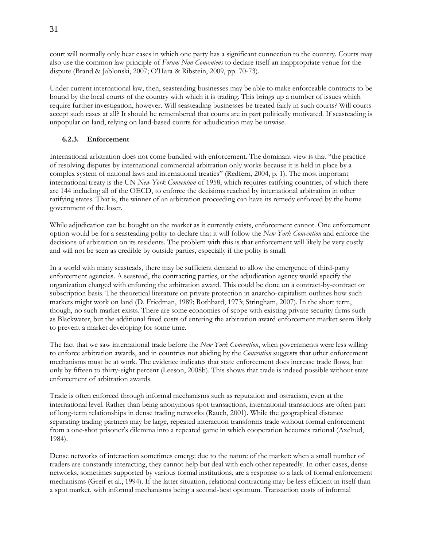court will normally only hear cases in which one party has a significant connection to the country. Courts may also use the common law principle of *Forum Non Conveniens* to declare itself an inappropriate venue for the dispute (Brand & Jablonski, 2007; O'Hara & Ribstein, 2009, pp. 70-73).

Under current international law, then, seasteading businesses may be able to make enforceable contracts to be bound by the local courts of the country with which it is trading. This brings up a number of issues which require further investigation, however. Will seasteading businesses be treated fairly in such courts? Will courts accept such cases at all? It should be remembered that courts are in part politically motivated. If seasteading is unpopular on land, relying on land-based courts for adjudication may be unwise.

# **6.2.3. Enforcement**

International arbitration does not come bundled with enforcement. The dominant view is that "the practice of resolving disputes by international commercial arbitration only works because it is held in place by a complex system of national laws and international treaties" (Redfern, 2004, p. 1). The most important international treaty is the UN *New York Convention* of 1958, which requires ratifying countries, of which there are 144 including all of the OECD, to enforce the decisions reached by international arbitration in other ratifying states. That is, the winner of an arbitration proceeding can have its remedy enforced by the home government of the loser.

While adjudication can be bought on the market as it currently exists, enforcement cannot. One enforcement option would be for a seasteading polity to declare that it will follow the *New York Convention* and enforce the decisions of arbitration on its residents. The problem with this is that enforcement will likely be very costly and will not be seen as credible by outside parties, especially if the polity is small.

In a world with many seasteads, there may be sufficient demand to allow the emergence of third-party enforcement agencies. A seastead, the contracting parties, or the adjudication agency would specify the organization charged with enforcing the arbitration award. This could be done on a contract-by-contract or subscription basis. The theoretical literature on private protection in anarcho-capitalism outlines how such markets might work on land (D. Friedman, 1989; Rothbard, 1973; Stringham, 2007). In the short term, though, no such market exists. There are some economies of scope with existing private security firms such as Blackwater, but the additional fixed costs of entering the arbitration award enforcement market seem likely to prevent a market developing for some time.

The fact that we saw international trade before the *New York Convention*, when governments were less willing to enforce arbitration awards, and in countries not abiding by the *Convention* suggests that other enforcement mechanisms must be at work. The evidence indicates that state enforcement does increase trade flows, but only by fifteen to thirty-eight percent (Leeson, 2008b). This shows that trade is indeed possible without state enforcement of arbitration awards.

Trade is often enforced through informal mechanisms such as reputation and ostracism, even at the international level. Rather than being anonymous spot transactions, international transactions are often part of long-term relationships in dense trading networks (Rauch, 2001). While the geographical distance separating trading partners may be large, repeated interaction transforms trade without formal enforcement from a one-shot prisoner's dilemma into a repeated game in which cooperation becomes rational (Axelrod, 1984).

Dense networks of interaction sometimes emerge due to the nature of the market: when a small number of traders are constantly interacting, they cannot help but deal with each other repeatedly. In other cases, dense networks, sometimes supported by various formal institutions, are a response to a lack of formal enforcement mechanisms (Greif et al., 1994). If the latter situation, relational contracting may be less efficient in itself than a spot market, with informal mechanisms being a second-best optimum. Transaction costs of informal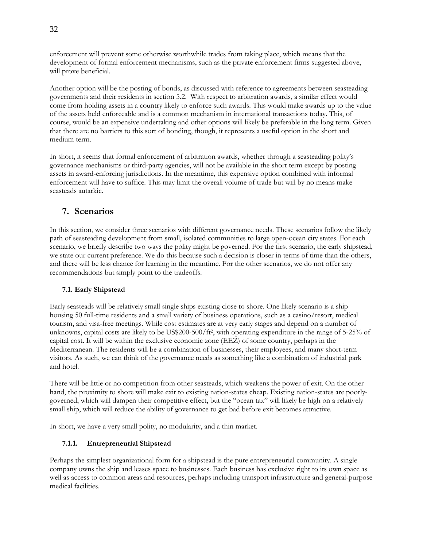enforcement will prevent some otherwise worthwhile trades from taking place, which means that the development of formal enforcement mechanisms, such as the private enforcement firms suggested above, will prove beneficial.

Another option will be the posting of bonds, as discussed with reference to agreements between seasteading governments and their residents in section 5.2. With respect to arbitration awards, a similar effect would come from holding assets in a country likely to enforce such awards. This would make awards up to the value of the assets held enforceable and is a common mechanism in international transactions today. This, of course, would be an expensive undertaking and other options will likely be preferable in the long term. Given that there are no barriers to this sort of bonding, though, it represents a useful option in the short and medium term.

In short, it seems that formal enforcement of arbitration awards, whether through a seasteading polity's governance mechanisms or third-party agencies, will not be available in the short term except by posting assets in award-enforcing jurisdictions. In the meantime, this expensive option combined with informal enforcement will have to suffice. This may limit the overall volume of trade but will by no means make seasteads autarkic.

# **7. Scenarios**

In this section, we consider three scenarios with different governance needs. These scenarios follow the likely path of seasteading development from small, isolated communities to large open-ocean city states. For each scenario, we briefly describe two ways the polity might be governed. For the first scenario, the early shipstead, we state our current preference. We do this because such a decision is closer in terms of time than the others, and there will be less chance for learning in the meantime. For the other scenarios, we do not offer any recommendations but simply point to the tradeoffs.

# **7.1. Early Shipstead**

Early seasteads will be relatively small single ships existing close to shore. One likely scenario is a ship housing 50 full-time residents and a small variety of business operations, such as a casino/resort, medical tourism, and visa-free meetings. While cost estimates are at very early stages and depend on a number of unknowns, capital costs are likely to be US\$200-500/ft<sup>2</sup> , with operating expenditure in the range of 5-25% of capital cost. It will be within the exclusive economic zone (EEZ) of some country, perhaps in the Mediterranean. The residents will be a combination of businesses, their employees, and many short-term visitors. As such, we can think of the governance needs as something like a combination of industrial park and hotel.

There will be little or no competition from other seasteads, which weakens the power of exit. On the other hand, the proximity to shore will make exit to existing nation-states cheap. Existing nation-states are poorlygoverned, which will dampen their competitive effect, but the "ocean tax" will likely be high on a relatively small ship, which will reduce the ability of governance to get bad before exit becomes attractive.

In short, we have a very small polity, no modularity, and a thin market.

# **7.1.1. Entrepreneurial Shipstead**

Perhaps the simplest organizational form for a shipstead is the pure entrepreneurial community. A single company owns the ship and leases space to businesses. Each business has exclusive right to its own space as well as access to common areas and resources, perhaps including transport infrastructure and general-purpose medical facilities.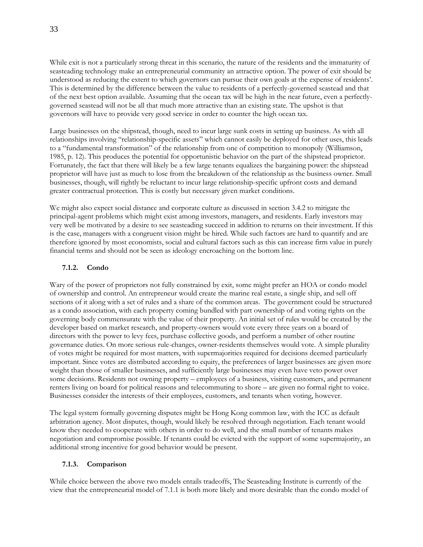While exit is not a particularly strong threat in this scenario, the nature of the residents and the immaturity of seasteading technology make an entrepreneurial community an attractive option. The power of exit should be understood as reducing the extent to which governors can pursue their own goals at the expense of residents'. This is determined by the difference between the value to residents of a perfectly-governed seastead and that of the next best option available. Assuming that the ocean tax will be high in the near future, even a perfectlygoverned seastead will not be all that much more attractive than an existing state. The upshot is that governors will have to provide very good service in order to counter the high ocean tax.

Large businesses on the shipstead, though, need to incur large sunk costs in setting up business. As with all relationships involving "relationship-specific assets" which cannot easily be deployed for other uses, this leads to a "fundamental transformation" of the relationship from one of competition to monopoly (Williamson, 1985, p. 12). This produces the potential for opportunistic behavior on the part of the shipstead proprietor. Fortunately, the fact that there will likely be a few large tenants equalizes the bargaining power: the shipstead proprietor will have just as much to lose from the breakdown of the relationship as the business owner. Small businesses, though, will rightly be reluctant to incur large relationship-specific upfront costs and demand greater contractual protection. This is costly but necessary given market conditions.

We might also expect social distance and corporate culture as discussed in section 3.4.2 to mitigate the principal-agent problems which might exist among investors, managers, and residents. Early investors may very well be motivated by a desire to see seasteading succeed in addition to returns on their investment. If this is the case, managers with a congruent vision might be hired. While such factors are hard to quantify and are therefore ignored by most economists, social and cultural factors such as this can increase firm value in purely financial terms and should not be seen as ideology encroaching on the bottom line.

#### **7.1.2. Condo**

Wary of the power of proprietors not fully constrained by exit, some might prefer an HOA or condo model of ownership and control. An entrepreneur would create the marine real estate, a single ship, and sell off sections of it along with a set of rules and a share of the common areas. The government could be structured as a condo association, with each property coming bundled with part ownership of and voting rights on the governing body commensurate with the value of their property. An initial set of rules would be created by the developer based on market research, and property-owners would vote every three years on a board of directors with the power to levy fees, purchase collective goods, and perform a number of other routine governance duties. On more serious rule-changes, owner-residents themselves would vote. A simple plurality of votes might be required for most matters, with supermajorities required for decisions deemed particularly important. Since votes are distributed according to equity, the preferences of larger businesses are given more weight than those of smaller businesses, and sufficiently large businesses may even have veto power over some decisions. Residents not owning property – employees of a business, visiting customers, and permanent renters living on board for political reasons and telecommuting to shore – are given no formal right to voice. Businesses consider the interests of their employees, customers, and tenants when voting, however.

The legal system formally governing disputes might be Hong Kong common law, with the ICC as default arbitration agency. Most disputes, though, would likely be resolved through negotiation. Each tenant would know they needed to cooperate with others in order to do well, and the small number of tenants makes negotiation and compromise possible. If tenants could be evicted with the support of some supermajority, an additional strong incentive for good behavior would be present.

#### **7.1.3. Comparison**

While choice between the above two models entails tradeoffs, The Seasteading Institute is currently of the view that the entrepreneurial model of 7.1.1 is both more likely and more desirable than the condo model of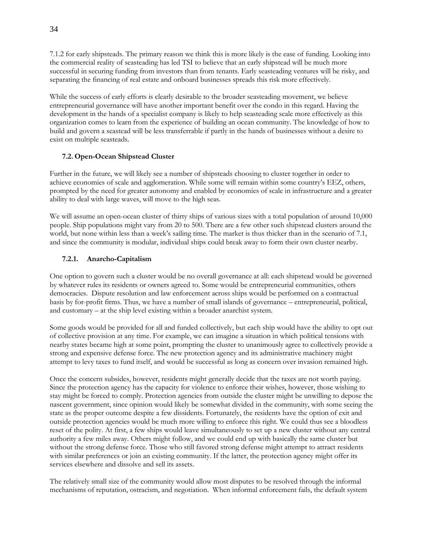7.1.2 for early shipsteads. The primary reason we think this is more likely is the ease of funding. Looking into the commercial reality of seasteading has led TSI to believe that an early shipstead will be much more successful in securing funding from investors than from tenants. Early seasteading ventures will be risky, and separating the financing of real estate and onboard businesses spreads this risk more effectively.

While the success of early efforts is clearly desirable to the broader seasteading movement, we believe entrepreneurial governance will have another important benefit over the condo in this regard. Having the development in the hands of a specialist company is likely to help seasteading scale more effectively as this organization comes to learn from the experience of building an ocean community. The knowledge of how to build and govern a seastead will be less transferrable if partly in the hands of businesses without a desire to exist on multiple seasteads.

# **7.2. Open-Ocean Shipstead Cluster**

Further in the future, we will likely see a number of shipsteads choosing to cluster together in order to achieve economies of scale and agglomeration. While some will remain within some country's EEZ, others, prompted by the need for greater autonomy and enabled by economies of scale in infrastructure and a greater ability to deal with large waves, will move to the high seas.

We will assume an open-ocean cluster of thirty ships of various sizes with a total population of around 10,000 people. Ship populations might vary from 20 to 500. There are a few other such shipstead clusters around the world, but none within less than a week's sailing time. The market is thus thicker than in the scenario of 7.1, and since the community is modular, individual ships could break away to form their own cluster nearby.

#### **7.2.1. Anarcho-Capitalism**

One option to govern such a cluster would be no overall governance at all: each shipstead would be governed by whatever rules its residents or owners agreed to. Some would be entrepreneurial communities, others democracies. Dispute resolution and law enforcement across ships would be performed on a contractual basis by for-profit firms. Thus, we have a number of small islands of governance – entrepreneurial, political, and customary – at the ship level existing within a broader anarchist system.

Some goods would be provided for all and funded collectively, but each ship would have the ability to opt out of collective provision at any time. For example, we can imagine a situation in which political tensions with nearby states became high at some point, prompting the cluster to unanimously agree to collectively provide a strong and expensive defense force. The new protection agency and its administrative machinery might attempt to levy taxes to fund itself, and would be successful as long as concern over invasion remained high.

Once the concern subsides, however, residents might generally decide that the taxes are not worth paying. Since the protection agency has the capacity for violence to enforce their wishes, however, those wishing to stay might be forced to comply. Protection agencies from outside the cluster might be unwilling to depose the nascent government, since opinion would likely be somewhat divided in the community, with some seeing the state as the proper outcome despite a few dissidents. Fortunately, the residents have the option of exit and outside protection agencies would be much more willing to enforce this right. We could thus see a bloodless reset of the polity. At first, a few ships would leave simultaneously to set up a new cluster without any central authority a few miles away. Others might follow, and we could end up with basically the same cluster but without the strong defense force. Those who still favored strong defense might attempt to attract residents with similar preferences or join an existing community. If the latter, the protection agency might offer its services elsewhere and dissolve and sell its assets.

The relatively small size of the community would allow most disputes to be resolved through the informal mechanisms of reputation, ostracism, and negotiation. When informal enforcement fails, the default system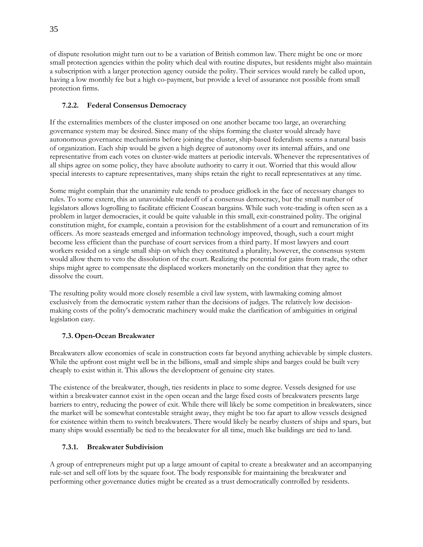of dispute resolution might turn out to be a variation of British common law. There might be one or more small protection agencies within the polity which deal with routine disputes, but residents might also maintain a subscription with a larger protection agency outside the polity. Their services would rarely be called upon, having a low monthly fee but a high co-payment, but provide a level of assurance not possible from small protection firms.

# **7.2.2. Federal Consensus Democracy**

If the externalities members of the cluster imposed on one another became too large, an overarching governance system may be desired. Since many of the ships forming the cluster would already have autonomous governance mechanisms before joining the cluster, ship-based federalism seems a natural basis of organization. Each ship would be given a high degree of autonomy over its internal affairs, and one representative from each votes on cluster-wide matters at periodic intervals. Whenever the representatives of all ships agree on some policy, they have absolute authority to carry it out. Worried that this would allow special interests to capture representatives, many ships retain the right to recall representatives at any time.

Some might complain that the unanimity rule tends to produce gridlock in the face of necessary changes to rules. To some extent, this an unavoidable tradeoff of a consensus democracy, but the small number of legislators allows logrolling to facilitate efficient Coasean bargains. While such vote-trading is often seen as a problem in larger democracies, it could be quite valuable in this small, exit-constrained polity. The original constitution might, for example, contain a provision for the establishment of a court and remuneration of its officers. As more seasteads emerged and information technology improved, though, such a court might become less efficient than the purchase of court services from a third party. If most lawyers and court workers resided on a single small ship on which they constituted a plurality, however, the consensus system would allow them to veto the dissolution of the court. Realizing the potential for gains from trade, the other ships might agree to compensate the displaced workers monetarily on the condition that they agree to dissolve the court.

The resulting polity would more closely resemble a civil law system, with lawmaking coming almost exclusively from the democratic system rather than the decisions of judges. The relatively low decisionmaking costs of the polity's democratic machinery would make the clarification of ambiguities in original legislation easy.

# **7.3. Open-Ocean Breakwater**

Breakwaters allow economies of scale in construction costs far beyond anything achievable by simple clusters. While the upfront cost might well be in the billions, small and simple ships and barges could be built very cheaply to exist within it. This allows the development of genuine city states.

The existence of the breakwater, though, ties residents in place to some degree. Vessels designed for use within a breakwater cannot exist in the open ocean and the large fixed costs of breakwaters presents large barriers to entry, reducing the power of exit. While there will likely be some competition in breakwaters, since the market will be somewhat contestable straight away, they might be too far apart to allow vessels designed for existence within them to switch breakwaters. There would likely be nearby clusters of ships and spars, but many ships would essentially be tied to the breakwater for all time, much like buildings are tied to land.

# **7.3.1. Breakwater Subdivision**

A group of entrepreneurs might put up a large amount of capital to create a breakwater and an accompanying rule-set and sell off lots by the square foot. The body responsible for maintaining the breakwater and performing other governance duties might be created as a trust democratically controlled by residents.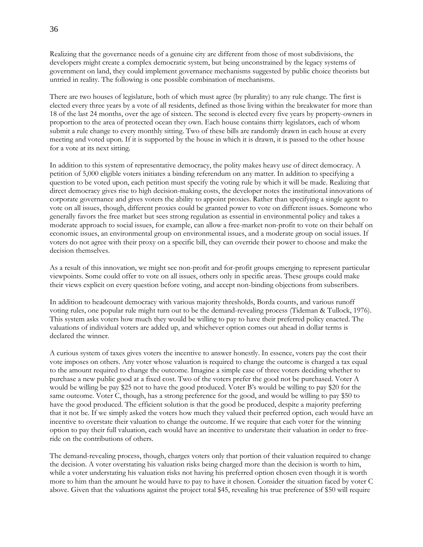Realizing that the governance needs of a genuine city are different from those of most subdivisions, the developers might create a complex democratic system, but being unconstrained by the legacy systems of government on land, they could implement governance mechanisms suggested by public choice theorists but untried in reality. The following is one possible combination of mechanisms.

There are two houses of legislature, both of which must agree (by plurality) to any rule change. The first is elected every three years by a vote of all residents, defined as those living within the breakwater for more than 18 of the last 24 months, over the age of sixteen. The second is elected every five years by property-owners in proportion to the area of protected ocean they own. Each house contains thirty legislators, each of whom submit a rule change to every monthly sitting. Two of these bills are randomly drawn in each house at every meeting and voted upon. If it is supported by the house in which it is drawn, it is passed to the other house for a vote at its next sitting.

In addition to this system of representative democracy, the polity makes heavy use of direct democracy. A petition of 5,000 eligible voters initiates a binding referendum on any matter. In addition to specifying a question to be voted upon, each petition must specify the voting rule by which it will be made. Realizing that direct democracy gives rise to high decision-making costs, the developer notes the institutional innovations of corporate governance and gives voters the ability to appoint proxies. Rather than specifying a single agent to vote on all issues, though, different proxies could be granted power to vote on different issues. Someone who generally favors the free market but sees strong regulation as essential in environmental policy and takes a moderate approach to social issues, for example, can allow a free-market non-profit to vote on their behalf on economic issues, an environmental group on environmental issues, and a moderate group on social issues. If voters do not agree with their proxy on a specific bill, they can override their power to choose and make the decision themselves.

As a result of this innovation, we might see non-profit and for-profit groups emerging to represent particular viewpoints. Some could offer to vote on all issues, others only in specific areas. These groups could make their views explicit on every question before voting, and accept non-binding objections from subscribers.

In addition to headcount democracy with various majority thresholds, Borda counts, and various runoff voting rules, one popular rule might turn out to be the demand-revealing process (Tideman & Tullock, 1976). This system asks voters how much they would be willing to pay to have their preferred policy enacted. The valuations of individual voters are added up, and whichever option comes out ahead in dollar terms is declared the winner.

A curious system of taxes gives voters the incentive to answer honestly. In essence, voters pay the cost their vote imposes on others. Any voter whose valuation is required to change the outcome is charged a tax equal to the amount required to change the outcome. Imagine a simple case of three voters deciding whether to purchase a new public good at a fixed cost. Two of the voters prefer the good not be purchased. Voter A would be willing be pay \$25 not to have the good produced. Voter B's would be willing to pay \$20 for the same outcome. Voter C, though, has a strong preference for the good, and would be willing to pay \$50 to have the good produced. The efficient solution is that the good be produced, despite a majority preferring that it not be. If we simply asked the voters how much they valued their preferred option, each would have an incentive to overstate their valuation to change the outcome. If we require that each voter for the winning option to pay their full valuation, each would have an incentive to understate their valuation in order to freeride on the contributions of others.

The demand-revealing process, though, charges voters only that portion of their valuation required to change the decision. A voter overstating his valuation risks being charged more than the decision is worth to him, while a voter understating his valuation risks not having his preferred option chosen even though it is worth more to him than the amount he would have to pay to have it chosen. Consider the situation faced by voter C above. Given that the valuations against the project total \$45, revealing his true preference of \$50 will require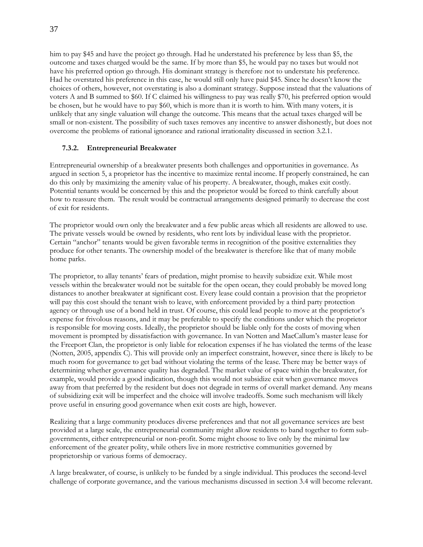him to pay \$45 and have the project go through. Had he understated his preference by less than \$5, the outcome and taxes charged would be the same. If by more than \$5, he would pay no taxes but would not have his preferred option go through. His dominant strategy is therefore not to understate his preference. Had he overstated his preference in this case, he would still only have paid \$45. Since he doesn't know the choices of others, however, not overstating is also a dominant strategy. Suppose instead that the valuations of voters A and B summed to \$60. If C claimed his willingness to pay was really \$70, his preferred option would be chosen, but he would have to pay \$60, which is more than it is worth to him. With many voters, it is unlikely that any single valuation will change the outcome. This means that the actual taxes charged will be small or non-existent. The possibility of such taxes removes any incentive to answer dishonestly, but does not overcome the problems of rational ignorance and rational irrationality discussed in section 3.2.1.

#### **7.3.2. Entrepreneurial Breakwater**

Entrepreneurial ownership of a breakwater presents both challenges and opportunities in governance. As argued in section 5, a proprietor has the incentive to maximize rental income. If properly constrained, he can do this only by maximizing the amenity value of his property. A breakwater, though, makes exit costly. Potential tenants would be concerned by this and the proprietor would be forced to think carefully about how to reassure them. The result would be contractual arrangements designed primarily to decrease the cost of exit for residents.

The proprietor would own only the breakwater and a few public areas which all residents are allowed to use. The private vessels would be owned by residents, who rent lots by individual lease with the proprietor. Certain "anchor" tenants would be given favorable terms in recognition of the positive externalities they produce for other tenants. The ownership model of the breakwater is therefore like that of many mobile home parks.

The proprietor, to allay tenants' fears of predation, might promise to heavily subsidize exit. While most vessels within the breakwater would not be suitable for the open ocean, they could probably be moved long distances to another breakwater at significant cost. Every lease could contain a provision that the proprietor will pay this cost should the tenant wish to leave, with enforcement provided by a third party protection agency or through use of a bond held in trust. Of course, this could lead people to move at the proprietor's expense for frivolous reasons, and it may be preferable to specify the conditions under which the proprietor is responsible for moving costs. Ideally, the proprietor should be liable only for the costs of moving when movement is prompted by dissatisfaction with governance. In van Notten and MacCallum's master lease for the Freeport Clan, the proprietor is only liable for relocation expenses if he has violated the terms of the lease (Notten, 2005, appendix C). This will provide only an imperfect constraint, however, since there is likely to be much room for governance to get bad without violating the terms of the lease. There may be better ways of determining whether governance quality has degraded. The market value of space within the breakwater, for example, would provide a good indication, though this would not subsidize exit when governance moves away from that preferred by the resident but does not degrade in terms of overall market demand. Any means of subsidizing exit will be imperfect and the choice will involve tradeoffs. Some such mechanism will likely prove useful in ensuring good governance when exit costs are high, however.

Realizing that a large community produces diverse preferences and that not all governance services are best provided at a large scale, the entrepreneurial community might allow residents to band together to form subgovernments, either entrepreneurial or non-profit. Some might choose to live only by the minimal law enforcement of the greater polity, while others live in more restrictive communities governed by proprietorship or various forms of democracy.

A large breakwater, of course, is unlikely to be funded by a single individual. This produces the second-level challenge of corporate governance, and the various mechanisms discussed in section 3.4 will become relevant.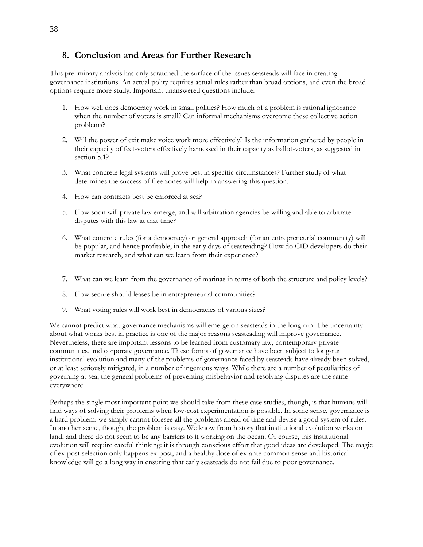# **8. Conclusion and Areas for Further Research**

This preliminary analysis has only scratched the surface of the issues seasteads will face in creating governance institutions. An actual polity requires actual rules rather than broad options, and even the broad options require more study. Important unanswered questions include:

- 1. How well does democracy work in small polities? How much of a problem is rational ignorance when the number of voters is small? Can informal mechanisms overcome these collective action problems?
- 2. Will the power of exit make voice work more effectively? Is the information gathered by people in their capacity of feet-voters effectively harnessed in their capacity as ballot-voters, as suggested in section 5.1?
- 3. What concrete legal systems will prove best in specific circumstances? Further study of what determines the success of free zones will help in answering this question.
- 4. How can contracts best be enforced at sea?
- 5. How soon will private law emerge, and will arbitration agencies be willing and able to arbitrate disputes with this law at that time?
- 6. What concrete rules (for a democracy) or general approach (for an entrepreneurial community) will be popular, and hence profitable, in the early days of seasteading? How do CID developers do their market research, and what can we learn from their experience?
- 7. What can we learn from the governance of marinas in terms of both the structure and policy levels?
- 8. How secure should leases be in entrepreneurial communities?
- 9. What voting rules will work best in democracies of various sizes?

We cannot predict what governance mechanisms will emerge on seasteads in the long run. The uncertainty about what works best in practice is one of the major reasons seasteading will improve governance. Nevertheless, there are important lessons to be learned from customary law, contemporary private communities, and corporate governance. These forms of governance have been subject to long-run institutional evolution and many of the problems of governance faced by seasteads have already been solved, or at least seriously mitigated, in a number of ingenious ways. While there are a number of peculiarities of governing at sea, the general problems of preventing misbehavior and resolving disputes are the same everywhere.

Perhaps the single most important point we should take from these case studies, though, is that humans will find ways of solving their problems when low-cost experimentation is possible. In some sense, governance is a hard problem: we simply cannot foresee all the problems ahead of time and devise a good system of rules. In another sense, though, the problem is easy. We know from history that institutional evolution works on land, and there do not seem to be any barriers to it working on the ocean. Of course, this institutional evolution will require careful thinking: it is through conscious effort that good ideas are developed. The magic of ex-post selection only happens ex-post, and a healthy dose of ex-ante common sense and historical knowledge will go a long way in ensuring that early seasteads do not fail due to poor governance.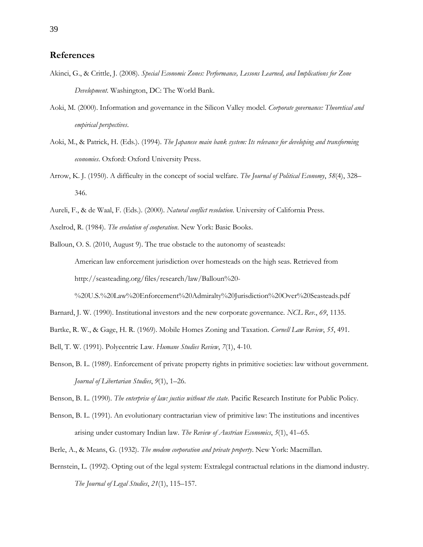# **References**

- Akinci, G., & Crittle, J. (2008). *Special Economic Zones: Performance, Lessons Learned, and Implications for Zone Development*. Washington, DC: The World Bank.
- Aoki, M. (2000). Information and governance in the Silicon Valley model. *Corporate governance: Theoretical and empirical perspectives*.
- Aoki, M., & Patrick, H. (Eds.). (1994). *The Japanese main bank system: Its relevance for developing and transforming economies*. Oxford: Oxford University Press.
- Arrow, K. J. (1950). A difficulty in the concept of social welfare. *The Journal of Political Economy*, *58*(4), 328– 346.
- Aureli, F., & de Waal, F. (Eds.). (2000). *Natural conflict resolution*. University of California Press.

Axelrod, R. (1984). *The evolution of cooperation*. New York: Basic Books.

Balloun, O. S. (2010, August 9). The true obstacle to the autonomy of seasteads: American law enforcement jurisdiction over homesteads on the high seas. Retrieved from http://seasteading.org/files/research/law/Balloun%20-

%20U.S.%20Law%20Enforcement%20Admiralty%20Jurisdiction%20Over%20Seasteads.pdf

Barnard, J. W. (1990). Institutional investors and the new corporate governance. *NCL Rev.*, *69*, 1135.

Bartke, R. W., & Gage, H. R. (1969). Mobile Homes Zoning and Taxation. *Cornell Law Review*, *55*, 491.

Bell, T. W. (1991). Polycentric Law. *Humane Studies Review*, *7*(1), 4-10.

Benson, B. L. (1989). Enforcement of private property rights in primitive societies: law without government. *Journal of Libertarian Studies*, *9*(1), 1–26.

Benson, B. L. (1990). *The enterprise of law: justice without the state*. Pacific Research Institute for Public Policy.

- Benson, B. L. (1991). An evolutionary contractarian view of primitive law: The institutions and incentives arising under customary Indian law. *The Review of Austrian Economics*, *5*(1), 41–65.
- Berle, A., & Means, G. (1932). *The modem corporation and private property*. New York: Macmillan.
- Bernstein, L. (1992). Opting out of the legal system: Extralegal contractual relations in the diamond industry. *The Journal of Legal Studies*, *21*(1), 115–157.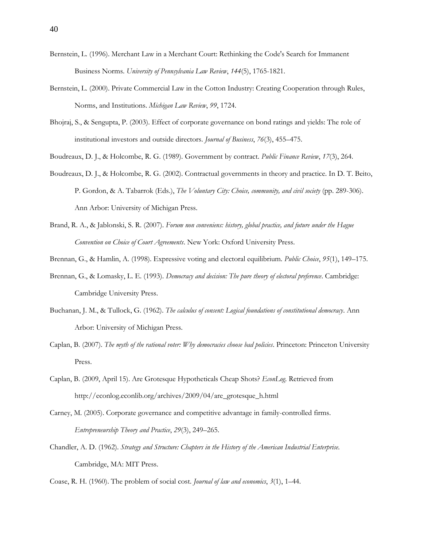- Bernstein, L. (1996). Merchant Law in a Merchant Court: Rethinking the Code's Search for Immanent Business Norms. *University of Pennsylvania Law Review*, *144*(5), 1765-1821.
- Bernstein, L. (2000). Private Commercial Law in the Cotton Industry: Creating Cooperation through Rules, Norms, and Institutions. *Michigan Law Review*, *99*, 1724.
- Bhojraj, S., & Sengupta, P. (2003). Effect of corporate governance on bond ratings and yields: The role of institutional investors and outside directors. *Journal of Business*, *76*(3), 455–475.
- Boudreaux, D. J., & Holcombe, R. G. (1989). Government by contract. *Public Finance Review*, *17*(3), 264.
- Boudreaux, D. J., & Holcombe, R. G. (2002). Contractual governments in theory and practice. In D. T. Beito, P. Gordon, & A. Tabarrok (Eds.), *The Voluntary City: Choice, community, and civil society* (pp. 289-306). Ann Arbor: University of Michigan Press.
- Brand, R. A., & Jablonski, S. R. (2007). *Forum non conveniens: history, global practice, and future under the Hague Convention on Choice of Court Agreements*. New York: Oxford University Press.
- Brennan, G., & Hamlin, A. (1998). Expressive voting and electoral equilibrium. *Public Choice*, *95*(1), 149–175.
- Brennan, G., & Lomasky, L. E. (1993). *Democracy and decision: The pure theory of electoral preference*. Cambridge: Cambridge University Press.
- Buchanan, J. M., & Tullock, G. (1962). *The calculus of consent: Logical foundations of constitutional democracy*. Ann Arbor: University of Michigan Press.
- Caplan, B. (2007). *The myth of the rational voter: Why democracies choose bad policies*. Princeton: Princeton University Press.
- Caplan, B. (2009, April 15). Are Grotesque Hypotheticals Cheap Shots? *EconLog*. Retrieved from http://econlog.econlib.org/archives/2009/04/are\_grotesque\_h.html
- Carney, M. (2005). Corporate governance and competitive advantage in family-controlled firms. *Entrepreneurship Theory and Practice*, *29*(3), 249–265.
- Chandler, A. D. (1962). *Strategy and Structure: Chapters in the History of the American Industrial Enterprise*. Cambridge, MA: MIT Press.
- Coase, R. H. (1960). The problem of social cost. *Journal of law and economics*, *3*(1), 1–44.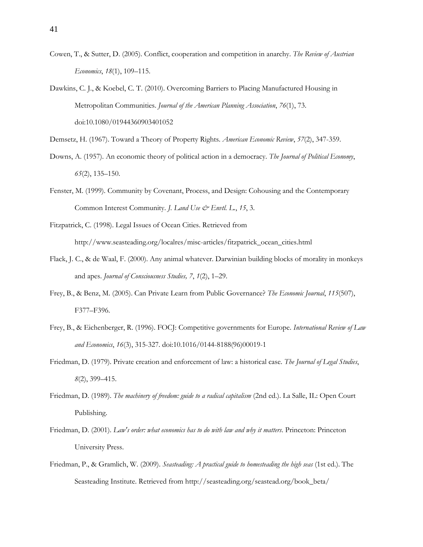- Cowen, T., & Sutter, D. (2005). Conflict, cooperation and competition in anarchy. *The Review of Austrian Economics*, *18*(1), 109–115.
- Dawkins, C. J., & Koebel, C. T. (2010). Overcoming Barriers to Placing Manufactured Housing in Metropolitan Communities. *Journal of the American Planning Association*, *76*(1), 73. doi:10.1080/01944360903401052
- Demsetz, H. (1967). Toward a Theory of Property Rights. *American Economic Review*, *57*(2), 347-359.
- Downs, A. (1957). An economic theory of political action in a democracy. *The Journal of Political Economy*, *65*(2), 135–150.
- Fenster, M. (1999). Community by Covenant, Process, and Design: Cohousing and the Contemporary Common Interest Community. *J. Land Use & Envtl. L.*, *15*, 3.
- Fitzpatrick, C. (1998). Legal Issues of Ocean Cities. Retrieved from http://www.seasteading.org/localres/misc-articles/fitzpatrick\_ocean\_cities.html
- Flack, J. C., & de Waal, F. (2000). Any animal whatever. Darwinian building blocks of morality in monkeys and apes. *Journal of Consciousness Studies, 7*, *1*(2), 1–29.
- Frey, B., & Benz, M. (2005). Can Private Learn from Public Governance? *The Economic Journal*, *115*(507), F377–F396.
- Frey, B., & Eichenberger, R. (1996). FOCJ: Competitive governments for Europe. *International Review of Law and Economics*, *16*(3), 315-327. doi:10.1016/0144-8188(96)00019-1
- Friedman, D. (1979). Private creation and enforcement of law: a historical case. *The Journal of Legal Studies*, *8*(2), 399–415.
- Friedman, D. (1989). *The machinery of freedom: guide to a radical capitalism* (2nd ed.). La Salle, IL: Open Court Publishing.
- Friedman, D. (2001). *Law's order: what economics has to do with law and why it matters*. Princeton: Princeton University Press.
- Friedman, P., & Gramlich, W. (2009). *Seasteading: A practical guide to homesteading the high seas* (1st ed.). The Seasteading Institute. Retrieved from http://seasteading.org/seastead.org/book\_beta/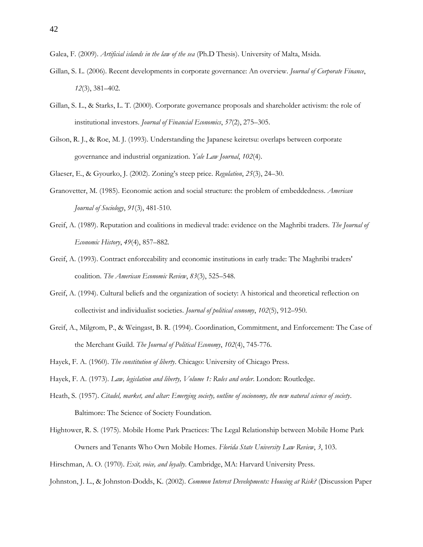Galea, F. (2009). *Artificial islands in the law of the sea* (Ph.D Thesis). University of Malta, Msida.

- Gillan, S. L. (2006). Recent developments in corporate governance: An overview. *Journal of Corporate Finance*, *12*(3), 381–402.
- Gillan, S. L., & Starks, L. T. (2000). Corporate governance proposals and shareholder activism: the role of institutional investors. *Journal of Financial Economics*, *57*(2), 275–305.
- Gilson, R. J., & Roe, M. J. (1993). Understanding the Japanese keiretsu: overlaps between corporate governance and industrial organization. *Yale Law Journal*, *102*(4).

Glaeser, E., & Gyourko, J. (2002). Zoning's steep price. *Regulation*, *25*(3), 24–30.

- Granovetter, M. (1985). Economic action and social structure: the problem of embeddedness. *American Journal of Sociology*, *91*(3), 481-510.
- Greif, A. (1989). Reputation and coalitions in medieval trade: evidence on the Maghribi traders. *The Journal of Economic History*, *49*(4), 857–882.
- Greif, A. (1993). Contract enforceability and economic institutions in early trade: The Maghribi traders' coalition. *The American Economic Review*, *83*(3), 525–548.
- Greif, A. (1994). Cultural beliefs and the organization of society: A historical and theoretical reflection on collectivist and individualist societies. *Journal of political economy*, *102*(5), 912–950.
- Greif, A., Milgrom, P., & Weingast, B. R. (1994). Coordination, Commitment, and Enforcement: The Case of the Merchant Guild. *The Journal of Political Economy*, *102*(4), 745-776.
- Hayek, F. A. (1960). *The constitution of liberty*. Chicago: University of Chicago Press.

Hayek, F. A. (1973). *Law, legislation and liberty, Volume 1: Rules and order*. London: Routledge.

- Heath, S. (1957). *Citadel, market, and altar: Emerging society, outline of socionomy, the new natural science of society*. Baltimore: The Science of Society Foundation.
- Hightower, R. S. (1975). Mobile Home Park Practices: The Legal Relationship between Mobile Home Park Owners and Tenants Who Own Mobile Homes. *Florida State University Law Review*, *3*, 103.

Hirschman, A. O. (1970). *Exit, voice, and loyalty*. Cambridge, MA: Harvard University Press.

Johnston, J. L., & Johnston-Dodds, K. (2002). *Common Interest Developments: Housing at Risk?* (Discussion Paper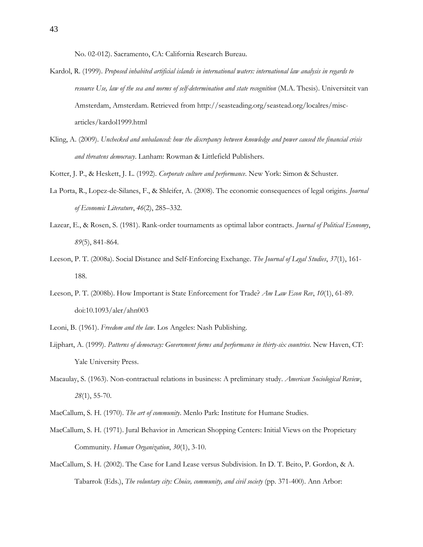No. 02-012). Sacramento, CA: California Research Bureau.

- Kardol, R. (1999). *Proposed inhabited artificial islands in international waters: international law analysis in regards to resource Use, law of the sea and norms of self-determination and state recognition* (M.A. Thesis). Universiteit van Amsterdam, Amsterdam. Retrieved from http://seasteading.org/seastead.org/localres/miscarticles/kardol1999.html
- Kling, A. (2009). *Unchecked and unbalanced: how the discrepancy between knowledge and power caused the financial crisis and threatens democracy*. Lanham: Rowman & Littlefield Publishers.
- Kotter, J. P., & Heskett, J. L. (1992). *Corporate culture and performance*. New York: Simon & Schuster.
- La Porta, R., Lopez-de-Silanes, F., & Shleifer, A. (2008). The economic consequences of legal origins. *Journal of Economic Literature*, *46*(2), 285–332.
- Lazear, E., & Rosen, S. (1981). Rank-order tournaments as optimal labor contracts. *Journal of Political Economy*, *89*(5), 841-864.
- Leeson, P. T. (2008a). Social Distance and Self-Enforcing Exchange. *The Journal of Legal Studies*, *37*(1), 161- 188.
- Leeson, P. T. (2008b). How Important is State Enforcement for Trade? *Am Law Econ Rev*, *10*(1), 61-89. doi:10.1093/aler/ahn003
- Leoni, B. (1961). *Freedom and the law*. Los Angeles: Nash Publishing.
- Lijphart, A. (1999). *Patterns of democracy: Government forms and performance in thirty-six countries*. New Haven, CT: Yale University Press.
- Macaulay, S. (1963). Non-contractual relations in business: A preliminary study. *American Sociological Review*, *28*(1), 55-70.
- MacCallum, S. H. (1970). *The art of community*. Menlo Park: Institute for Humane Studies.
- MacCallum, S. H. (1971). Jural Behavior in American Shopping Centers: Initial Views on the Proprietary Community. *Human Organization*, *30*(1), 3-10.
- MacCallum, S. H. (2002). The Case for Land Lease versus Subdivision. In D. T. Beito, P. Gordon, & A. Tabarrok (Eds.), *The voluntary city: Choice, community, and civil society* (pp. 371-400). Ann Arbor: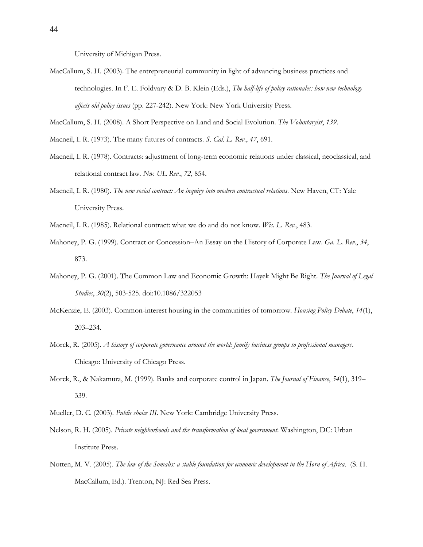University of Michigan Press.

MacCallum, S. H. (2003). The entrepreneurial community in light of advancing business practices and technologies. In F. E. Foldvary & D. B. Klein (Eds.), *The half-life of policy rationales: how new technology affects old policy issues* (pp. 227-242). New York: New York University Press.

MacCallum, S. H. (2008). A Short Perspective on Land and Social Evolution. *The Voluntaryist*, *139*.

- Macneil, I. R. (1973). The many futures of contracts. *S. Cal. L. Rev.*, *47*, 691.
- Macneil, I. R. (1978). Contracts: adjustment of long-term economic relations under classical, neoclassical, and relational contract law. *Nw. UL Rev.*, *72*, 854.
- Macneil, I. R. (1980). *The new social contract: An inquiry into modern contractual relations*. New Haven, CT: Yale University Press.
- Macneil, I. R. (1985). Relational contract: what we do and do not know. *Wis. L. Rev.*, 483.
- Mahoney, P. G. (1999). Contract or Concession–An Essay on the History of Corporate Law. *Ga. L. Rev.*, *34*, 873.
- Mahoney, P. G. (2001). The Common Law and Economic Growth: Hayek Might Be Right. *The Journal of Legal Studies*, *30*(2), 503-525. doi:10.1086/322053
- McKenzie, E. (2003). Common-interest housing in the communities of tomorrow. *Housing Policy Debate*, *14*(1), 203–234.
- Morck, R. (2005). *A history of corporate governance around the world: family business groups to professional managers*. Chicago: University of Chicago Press.
- Morck, R., & Nakamura, M. (1999). Banks and corporate control in Japan. *The Journal of Finance*, *54*(1), 319– 339.
- Mueller, D. C. (2003). *Public choice III*. New York: Cambridge University Press.
- Nelson, R. H. (2005). *Private neighborhoods and the transformation of local government*. Washington, DC: Urban Institute Press.
- Notten, M. V. (2005). *The law of the Somalis: a stable foundation for economic development in the Horn of Africa*. (S. H. MacCallum, Ed.). Trenton, NJ: Red Sea Press.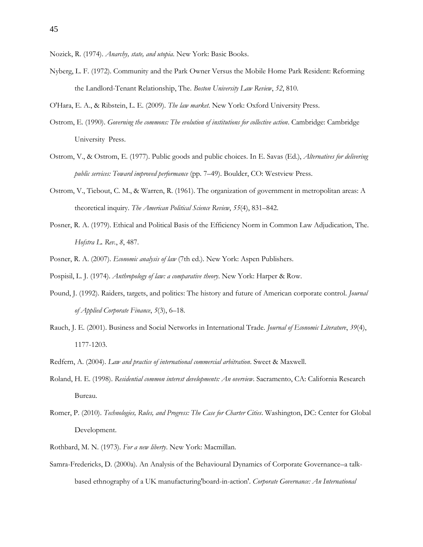- Nozick, R. (1974). *Anarchy, state, and utopia*. New York: Basic Books.
- Nyberg, L. F. (1972). Community and the Park Owner Versus the Mobile Home Park Resident: Reforming the Landlord-Tenant Relationship, The. *Boston University Law Review*, *52*, 810.

O'Hara, E. A., & Ribstein, L. E. (2009). *The law market*. New York: Oxford University Press.

- Ostrom, E. (1990). *Governing the commons: The evolution of institutions for collective action*. Cambridge: Cambridge University Press.
- Ostrom, V., & Ostrom, E. (1977). Public goods and public choices. In E. Savas (Ed.), *Alternatives for delivering public services: Toward improved performance* (pp. 7–49). Boulder, CO: Westview Press.
- Ostrom, V., Tiebout, C. M., & Warren, R. (1961). The organization of government in metropolitan areas: A theoretical inquiry. *The American Political Science Review*, *55*(4), 831–842.
- Posner, R. A. (1979). Ethical and Political Basis of the Efficiency Norm in Common Law Adjudication, The. *Hofstra L. Rev.*, *8*, 487.
- Posner, R. A. (2007). *Economic analysis of law* (7th ed.). New York: Aspen Publishers.
- Pospisil, L. J. (1974). *Anthropology of law: a comparative theory*. New York: Harper & Row.
- Pound, J. (1992). Raiders, targets, and politics: The history and future of American corporate control. *Journal of Applied Corporate Finance*, *5*(3), 6–18.
- Rauch, J. E. (2001). Business and Social Networks in International Trade. *Journal of Economic Literature*, *39*(4), 1177-1203.
- Redfern, A. (2004). *Law and practice of international commercial arbitration*. Sweet & Maxwell.
- Roland, H. E. (1998). *Residential common interest developments: An overview*. Sacramento, CA: California Research Bureau.
- Romer, P. (2010). *Technologies, Rules, and Progress: The Case for Charter Cities*. Washington, DC: Center for Global Development.
- Rothbard, M. N. (1973). *For a new liberty*. New York: Macmillan.
- Samra-Fredericks, D. (2000a). An Analysis of the Behavioural Dynamics of Corporate Governance–a talkbased ethnography of a UK manufacturing'board-in-action'. *Corporate Governance: An International*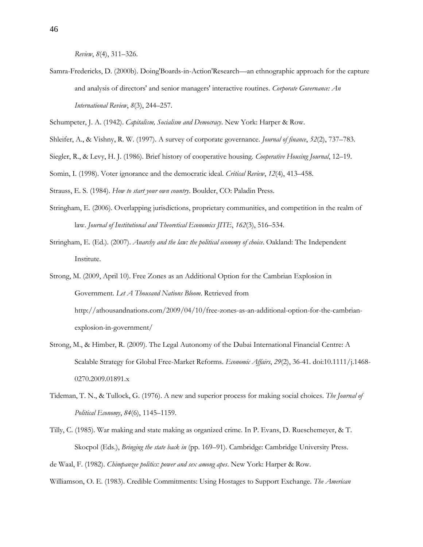*Review*, *8*(4), 311–326.

Samra-Fredericks, D. (2000b). Doing'Boards-in-Action'Research—an ethnographic approach for the capture and analysis of directors' and senior managers' interactive routines. *Corporate Governance: An International Review*, *8*(3), 244–257.

Schumpeter, J. A. (1942). *Capitalism, Socialism and Democracy*. New York: Harper & Row.

- Shleifer, A., & Vishny, R. W. (1997). A survey of corporate governance. *Journal of finance*, *52*(2), 737–783.
- Siegler, R., & Levy, H. J. (1986). Brief history of cooperative housing. *Cooperative Housing Journal*, 12–19.
- Somin, I. (1998). Voter ignorance and the democratic ideal. *Critical Review*, *12*(4), 413–458.

Strauss, E. S. (1984). *How to start your own country*. Boulder, CO: Paladin Press.

- Stringham, E. (2006). Overlapping jurisdictions, proprietary communities, and competition in the realm of law. *Journal of Institutional and Theoretical Economics JITE*, *162*(3), 516–534.
- Stringham, E. (Ed.). (2007). *Anarchy and the law: the political economy of choice*. Oakland: The Independent Institute.
- Strong, M. (2009, April 10). Free Zones as an Additional Option for the Cambrian Explosion in Government. *Let A Thousand Nations Bloom*. Retrieved from http://athousandnations.com/2009/04/10/free-zones-as-an-additional-option-for-the-cambrianexplosion-in-government/
- Strong, M., & Himber, R. (2009). The Legal Autonomy of the Dubai International Financial Centre: A Scalable Strategy for Global Free-Market Reforms. *Economic Affairs*, *29*(2), 36-41. doi:10.1111/j.1468- 0270.2009.01891.x
- Tideman, T. N., & Tullock, G. (1976). A new and superior process for making social choices. *The Journal of Political Economy*, *84*(6), 1145–1159.
- Tilly, C. (1985). War making and state making as organized crime. In P. Evans, D. Rueschemeyer, & T. Skocpol (Eds.), *Bringing the state back in* (pp. 169–91). Cambridge: Cambridge University Press.

de Waal, F. (1982). *Chimpanzee politics: power and sex among apes*. New York: Harper & Row.

Williamson, O. E. (1983). Credible Commitments: Using Hostages to Support Exchange. *The American*